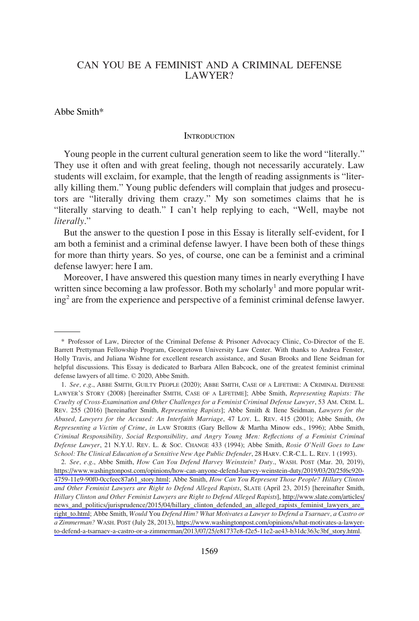# CAN YOU BE A FEMINIST AND A CRIMINAL DEFENSE LAWYER?

### Abbe Smith\*

#### **INTRODUCTION**

Young people in the current cultural generation seem to like the word "literally." They use it often and with great feeling, though not necessarily accurately. Law students will exclaim, for example, that the length of reading assignments is "literally killing them." Young public defenders will complain that judges and prosecutors are "literally driving them crazy." My son sometimes claims that he is "literally starving to death." I can't help replying to each, "Well, maybe not *literally*."

But the answer to the question I pose in this Essay is literally self-evident, for I am both a feminist and a criminal defense lawyer. I have been both of these things for more than thirty years. So yes, of course, one can be a feminist and a criminal defense lawyer: here I am.

Moreover, I have answered this question many times in nearly everything I have written since becoming a law professor. Both my scholarly<sup>1</sup> and more popular writing2 are from the experience and perspective of a feminist criminal defense lawyer.

*See, e.g*., Abbe Smith, *How Can You Defend Harvey Weinstein? Duty*., WASH. POST (Mar. 20, 2019), 2. [https://www.washingtonpost.com/opinions/how-can-anyone-defend-harvey-weinstein-duty/2019/03/20/25f6c920-](https://www.washingtonpost.com/opinions/how-can-anyone-defend-harvey-weinstein-duty/2019/03/20/25f6c920-4759-11e9-90f0-0ccfeec87a61_story.html) [4759-11e9-90f0-0ccfeec87a61\\_story.html;](https://www.washingtonpost.com/opinions/how-can-anyone-defend-harvey-weinstein-duty/2019/03/20/25f6c920-4759-11e9-90f0-0ccfeec87a61_story.html) Abbe Smith, *How Can You Represent Those People? Hillary Clinton and Other Feminist Lawyers are Right to Defend Alleged Rapists*, SLATE (April 23, 2015) [hereinafter Smith, *Hillary Clinton and Other Feminist Lawyers are Right to Defend Alleged Rapists*], [http://www.slate.com/articles/](http://www.slate.com/articles/news_and_politics/jurisprudence/2015/04/hillary_clinton_defended_an_alleged_rapists_feminist_lawyers_are_right_to.html)  [news\\_and\\_politics/jurisprudence/2015/04/hillary\\_clinton\\_defended\\_an\\_alleged\\_rapists\\_feminist\\_lawyers\\_are\\_](http://www.slate.com/articles/news_and_politics/jurisprudence/2015/04/hillary_clinton_defended_an_alleged_rapists_feminist_lawyers_are_right_to.html) [right\\_to.html](http://www.slate.com/articles/news_and_politics/jurisprudence/2015/04/hillary_clinton_defended_an_alleged_rapists_feminist_lawyers_are_right_to.html); Abbe Smith, *Would* You *Defend Him? What Motivates a Lawyer to Defend a Tsarnaev, a Castro or a Zimmerman?* WASH. POST (July 28, 2013), [https://www.washingtonpost.com/opinions/what-motivates-a-lawyer](https://www.washingtonpost.com/opinions/what-motivates-a-lawyer-to-defend-a-tsarnaev-a-castro-or-a-zimmerman/2013/07/25/e81737e8-f2e5-11e2-ae43-b31dc363c3bf_story.html)[to-defend-a-tsarnaev-a-castro-or-a-zimmerman/2013/07/25/e81737e8-f2e5-11e2-ae43-b31dc363c3bf\\_story.html.](https://www.washingtonpost.com/opinions/what-motivates-a-lawyer-to-defend-a-tsarnaev-a-castro-or-a-zimmerman/2013/07/25/e81737e8-f2e5-11e2-ae43-b31dc363c3bf_story.html)

<sup>\*</sup> Professor of Law, Director of the Criminal Defense & Prisoner Advocacy Clinic, Co-Director of the E. Barrett Prettyman Fellowship Program, Georgetown University Law Center. With thanks to Andrea Fenster, Holly Travis, and Juliana Wishne for excellent research assistance, and Susan Brooks and Ilene Seidman for helpful discussions. This Essay is dedicated to Barbara Allen Babcock, one of the greatest feminist criminal defense lawyers of all time. © 2020, Abbe Smith.

<sup>1.</sup> *See, e.g*., ABBE SMITH, GUILTY PEOPLE (2020); ABBE SMITH, CASE OF A LIFETIME: A CRIMINAL DEFENSE LAWYER'S STORY (2008) [hereinafter SMITH, CASE OF A LIFETIME]; Abbe Smith, *Representing Rapists: The Cruelty of Cross-Examination and Other Challenges for a Feminist Criminal Defense Lawyer*, 53 AM. CRIM. L. REV. 255 (2016) [hereinafter Smith, *Representing Rapists*]; Abbe Smith & Ilene Seidman, *Lawyers for the Abused, Lawyers for the Accused: An Interfaith Marriage*, 47 LOY. L. REV. 415 (2001); Abbe Smith, *On Representing a Victim of Crime*, *in* LAW STORIES (Gary Bellow & Martha Minow eds., 1996); Abbe Smith, *Criminal Responsibility, Social Responsibility, and Angry Young Men: Reflections of a Feminist Criminal Defense Lawyer*, 21 N.Y.U. REV. L. & SOC. CHANGE 433 (1994); Abbe Smith, *Rosie O'Neill Goes to Law School: The Clinical Education of a Sensitive New Age Public Defender*, 28 HARV. C.R-C.L. L. REV. 1 (1993).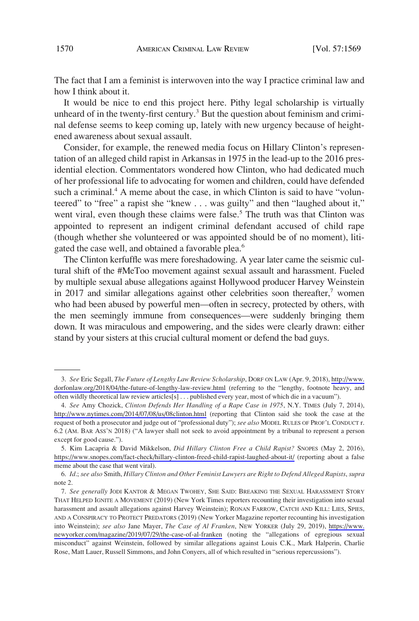The fact that I am a feminist is interwoven into the way I practice criminal law and how I think about it.

It would be nice to end this project here. Pithy legal scholarship is virtually unheard of in the twenty-first century.<sup>3</sup> But the question about feminism and criminal defense seems to keep coming up, lately with new urgency because of heightened awareness about sexual assault.

Consider, for example, the renewed media focus on Hillary Clinton's representation of an alleged child rapist in Arkansas in 1975 in the lead-up to the 2016 presidential election. Commentators wondered how Clinton, who had dedicated much of her professional life to advocating for women and children, could have defended such a criminal.<sup>4</sup> A meme about the case, in which Clinton is said to have "volunteered" to "free" a rapist she "knew . . . was guilty" and then "laughed about it," went viral, even though these claims were false.<sup>5</sup> The truth was that Clinton was appointed to represent an indigent criminal defendant accused of child rape (though whether she volunteered or was appointed should be of no moment), litigated the case well, and obtained a favorable plea.<sup>6</sup>

The Clinton kerfuffle was mere foreshadowing. A year later came the seismic cultural shift of the #MeToo movement against sexual assault and harassment. Fueled by multiple sexual abuse allegations against Hollywood producer Harvey Weinstein in 2017 and similar allegations against other celebrities soon thereafter, $7$  women who had been abused by powerful men—often in secrecy, protected by others, with the men seemingly immune from consequences—were suddenly bringing them down. It was miraculous and empowering, and the sides were clearly drawn: either stand by your sisters at this crucial cultural moment or defend the bad guys.

*See* Eric Segall, *The Future of Lengthy Law Review Scholarship*, DORF ON LAW (Apr. 9, 2018), [http://www.](http://www.dorfonlaw.org/2018/04/the-future-of-lengthy-law-review.html) 3. [dorfonlaw.org/2018/04/the-future-of-lengthy-law-review.html](http://www.dorfonlaw.org/2018/04/the-future-of-lengthy-law-review.html) (referring to the "lengthy, footnote heavy, and often wildly theoretical law review articles[s] . . . published every year, most of which die in a vacuum").

*See* Amy Chozick, *Clinton Defends Her Handling of a Rape Case in 1975*, N.Y. TIMES (July 7, 2014), 4. <http://www.nytimes.com/2014/07/08/us/08clinton.html>(reporting that Clinton said she took the case at the request of both a prosecutor and judge out of "professional duty"); *see also* MODEL RULES OF PROF'L CONDUCT r. 6.2 (AM. BAR ASS'N 2018) ("A lawyer shall not seek to avoid appointment by a tribunal to represent a person except for good cause.").

<sup>5.</sup> Kim Lacapria & David Mikkelson, *Did Hillary Clinton Free a Child Rapist?* SNOPES (May 2, 2016), <https://www.snopes.com/fact-check/hillary-clinton-freed-child-rapist-laughed-about-it/>(reporting about a false meme about the case that went viral).

<sup>6.</sup> *Id*.; *see also* Smith, *Hillary Clinton and Other Feminist Lawyers are Right to Defend Alleged Rapists*, *supra*  note 2.

*See generally* JODI KANTOR & MEGAN TWOHEY, SHE SAID: BREAKING THE SEXUAL HARASSMENT STORY 7. THAT HELPED IGNITE A MOVEMENT (2019) (New York Times reporters recounting their investigation into sexual harassment and assault allegations against Harvey Weinstein); RONAN FARROW, CATCH AND KILL: LIES, SPIES, AND A CONSPIRACY TO PROTECT PREDATORS (2019) (New Yorker Magazine reporter recounting his investigation into Weinstein); *see also* Jane Mayer, *The Case of Al Franken*, NEW YORKER (July 29, 2019), [https://www.](https://www.newyorker.com/magazine/2019/07/29/the-case-of-al-franken) [newyorker.com/magazine/2019/07/29/the-case-of-al-franken](https://www.newyorker.com/magazine/2019/07/29/the-case-of-al-franken) (noting the "allegations of egregious sexual misconduct" against Weinstein, followed by similar allegations against Louis C.K., Mark Halperin, Charlie Rose, Matt Lauer, Russell Simmons, and John Conyers, all of which resulted in "serious repercussions").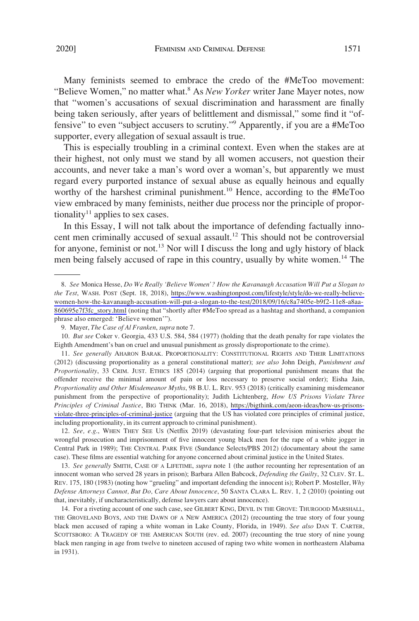Many feminists seemed to embrace the credo of the #MeToo movement: "Believe Women," no matter what.<sup>8</sup> As *New Yorker* writer Jane Mayer notes, now that "women's accusations of sexual discrimination and harassment are finally being taken seriously, after years of belittlement and dismissal," some find it "offensive" to even "subject accusers to scrutiny."9 Apparently, if you are a #MeToo supporter, every allegation of sexual assault is true.

This is especially troubling in a criminal context. Even when the stakes are at their highest, not only must we stand by all women accusers, not question their accounts, and never take a man's word over a woman's, but apparently we must regard every purported instance of sexual abuse as equally heinous and equally worthy of the harshest criminal punishment.<sup>10</sup> Hence, according to the #MeToo view embraced by many feminists, neither due process nor the principle of proportionality<sup>11</sup> applies to sex cases.

In this Essay, I will not talk about the importance of defending factually innocent men criminally accused of sexual assault.<sup>12</sup> This should not be controversial for anyone, feminist or not.<sup>13</sup> Nor will I discuss the long and ugly history of black men being falsely accused of rape in this country, usually by white women.<sup>14</sup> The

12. *See, e.g*., WHEN THEY SEE US (Netflix 2019) (devastating four-part television miniseries about the wrongful prosecution and imprisonment of five innocent young black men for the rape of a white jogger in Central Park in 1989); THE CENTRAL PARK FIVE (Sundance Selects/PBS 2012) (documentary about the same case). These films are essential watching for anyone concerned about criminal justice in the United States.

13. *See generally* SMITH, CASE OF A LIFETIME, *supra* note 1 (the author recounting her representation of an innocent woman who served 28 years in prison); Barbara Allen Babcock, *Defending the Guilty*, 32 CLEV. ST. L. REV. 175, 180 (1983) (noting how "grueling" and important defending the innocent is); Robert P. Mosteller, *Why Defense Attorneys Cannot, But Do, Care About Innocence*, 50 SANTA CLARA L. REV. 1, 2 (2010) (pointing out that, inevitably, if uncharacteristically, defense lawyers care about innocence).

14. For a riveting account of one such case, see GILBERT KING, DEVIL IN THE GROVE: THURGOOD MARSHALL, THE GROVELAND BOYS, AND THE DAWN OF A NEW AMERICA (2012) (recounting the true story of four young black men accused of raping a white woman in Lake County, Florida, in 1949). *See also* DAN T. CARTER, SCOTTSBORO: A TRAGEDY OF THE AMERICAN SOUTH (rev. ed. 2007) (recounting the true story of nine young black men ranging in age from twelve to nineteen accused of raping two white women in northeastern Alabama in 1931).

*See* Monica Hesse, *Do We Really 'Believe Women'? How the Kavanaugh Accusation Will Put a Slogan to*  8. *the Test*, WASH. POST (Sept. 18, 2018), [https://www.washingtonpost.com/lifestyle/style/do-we-really-believe](https://www.washingtonpost.com/lifestyle/style/do-we-really-believe-women-how-the-kavanaugh-accusation-will-put-a-slogan-to-the-test/2018/09/16/c8a7405e-b9f2-11e8-a8aa-860695e7f3fc_story.html)[women-how-the-kavanaugh-accusation-will-put-a-slogan-to-the-test/2018/09/16/c8a7405e-b9f2-11e8-a8aa-](https://www.washingtonpost.com/lifestyle/style/do-we-really-believe-women-how-the-kavanaugh-accusation-will-put-a-slogan-to-the-test/2018/09/16/c8a7405e-b9f2-11e8-a8aa-860695e7f3fc_story.html)[860695e7f3fc\\_story.html](https://www.washingtonpost.com/lifestyle/style/do-we-really-believe-women-how-the-kavanaugh-accusation-will-put-a-slogan-to-the-test/2018/09/16/c8a7405e-b9f2-11e8-a8aa-860695e7f3fc_story.html) (noting that "shortly after #MeToo spread as a hashtag and shorthand, a companion phrase also emerged: 'Believe women'").

<sup>9.</sup> Mayer, *The Case of Al Franken*, *supra* note 7.

<sup>10.</sup> *But see* Coker v. Georgia, 433 U.S. 584, 584 (1977) (holding that the death penalty for rape violates the Eighth Amendment's ban on cruel and unusual punishment as grossly disproportionate to the crime).

<sup>11.</sup> See generally AHARON BARAK. PROPORTIONALITY: CONSTITUTIONAL RIGHTS AND THEIR LIMITATIONS (2012) (discussing proportionality as a general constitutional matter); *see also* John Deigh, *Punishment and Proportionality*, 33 CRIM. JUST. ETHICS 185 (2014) (arguing that proportional punishment means that the offender receive the minimal amount of pain or loss necessary to preserve social order); Eisha Jain, *Proportionality and Other Misdemeanor Myths*, 98 B.U. L. REV. 953 (2018) (critically examining misdemeanor punishment from the perspective of proportionality); Judith Lichtenberg, *How US Prisons Violate Three Principles of Criminal Justice*, BIG THINK (Mar. 16, 2018), [https://bigthink.com/aeon-ideas/how-us-prisons](https://bigthink.com/aeon-ideas/how-us-prisons-violate-three-principles-of-criminal-justice)[violate-three-principles-of-criminal-justice](https://bigthink.com/aeon-ideas/how-us-prisons-violate-three-principles-of-criminal-justice) (arguing that the US has violated core principles of criminal justice, including proportionality, in its current approach to criminal punishment).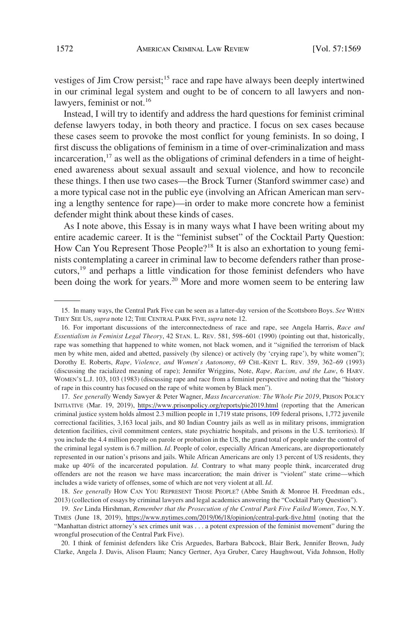vestiges of Jim Crow persist;<sup>15</sup> race and rape have always been deeply intertwined in our criminal legal system and ought to be of concern to all lawyers and nonlawyers, feminist or not.<sup>16</sup>

Instead, I will try to identify and address the hard questions for feminist criminal defense lawyers today, in both theory and practice. I focus on sex cases because these cases seem to provoke the most conflict for young feminists. In so doing, I first discuss the obligations of feminism in a time of over-criminalization and mass incarceration, $17$  as well as the obligations of criminal defenders in a time of heightened awareness about sexual assault and sexual violence, and how to reconcile these things. I then use two cases—the Brock Turner (Stanford swimmer case) and a more typical case not in the public eye (involving an African American man serving a lengthy sentence for rape)—in order to make more concrete how a feminist defender might think about these kinds of cases.

As I note above, this Essay is in many ways what I have been writing about my entire academic career. It is the "feminist subset" of the Cocktail Party Question: How Can You Represent Those People?<sup>18</sup> It is also an exhortation to young feminists contemplating a career in criminal law to become defenders rather than prosecutors,<sup>19</sup> and perhaps a little vindication for those feminist defenders who have been doing the work for years.<sup>20</sup> More and more women seem to be entering law

17. See generally Wendy Sawyer & Peter Wagner, *Mass Incarceration: The Whole Pie 2019*, PRISON POLICY INITIATIVE (Mar. 19, 2019), <https://www.prisonpolicy.org/reports/pie2019.html> (reporting that the American criminal justice system holds almost 2.3 million people in 1,719 state prisons, 109 federal prisons, 1,772 juvenile correctional facilities, 3,163 local jails, and 80 Indian Country jails as well as in military prisons, immigration detention facilities, civil commitment centers, state psychiatric hospitals, and prisons in the U.S. territories). If you include the 4.4 million people on parole or probation in the US, the grand total of people under the control of the criminal legal system is 6.7 million. *Id*. People of color, especially African Americans, are disproportionately represented in our nation's prisons and jails. While African Americans are only 13 percent of US residents, they make up 40% of the incarcerated population. *Id*. Contrary to what many people think, incarcerated drug offenders are not the reason we have mass incarceration; the main driver is "violent" state crime—which includes a wide variety of offenses, some of which are not very violent at all. *Id*.

18. *See generally* HOW CAN YOU REPRESENT THOSE PEOPLE? (Abbe Smith & Monroe H. Freedman eds., 2013) (collection of essays by criminal lawyers and legal academics answering the "Cocktail Party Question").

*See* Linda Hirshman, *Remember that the Prosecution of the Central Park Five Failed Women, Too*, N.Y. 19. TIMES (June 18, 2019), <https://www.nytimes.com/2019/06/18/opinion/central-park-five.html> (noting that the "Manhattan district attorney's sex crimes unit was . . . a potent expression of the feminist movement" during the wrongful prosecution of the Central Park Five).

20. I think of feminist defenders like Cris Arguedes, Barbara Babcock, Blair Berk, Jennifer Brown, Judy Clarke, Angela J. Davis, Alison Flaum; Nancy Gertner, Aya Gruber, Carey Haughwout, Vida Johnson, Holly

<sup>15.</sup> In many ways, the Central Park Five can be seen as a latter-day version of the Scottsboro Boys. *See* WHEN THEY SEE US, *supra* note 12; THE CENTRAL PARK FIVE, *supra* note 12.

<sup>16.</sup> For important discussions of the interconnectedness of race and rape, see Angela Harris, *Race and Essentialism in Feminist Legal Theory*, 42 STAN. L. REV. 581, 598–601 (1990) (pointing out that, historically, rape was something that happened to white women, not black women, and it "signified the terrorism of black men by white men, aided and abetted, passively (by silence) or actively (by 'crying rape'), by white women"); Dorothy E. Roberts, *Rape, Violence, and Women's Autonomy*, 69 CHI.-KENT L. REV. 359, 362–69 (1993) (discussing the racialized meaning of rape); Jennifer Wriggins, Note, *Rape, Racism, and the Law*, 6 HARV. WOMEN'S L.J. 103, 103 (1983) (discussing rape and race from a feminist perspective and noting that the "history of rape in this country has focused on the rape of white women by Black men").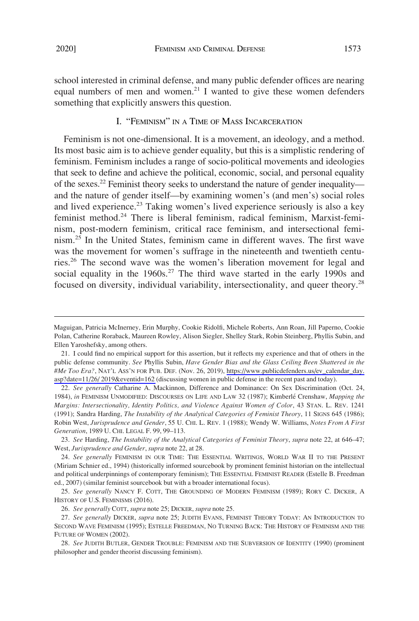# I. "FEMINISM" IN A TIME OF MASS INCARCERATION

something that explicitly answers this question.

Feminism is not one-dimensional. It is a movement, an ideology, and a method. Its most basic aim is to achieve gender equality, but this is a simplistic rendering of feminism. Feminism includes a range of socio-political movements and ideologies that seek to define and achieve the political, economic, social, and personal equality of the sexes.<sup>22</sup> Feminist theory seeks to understand the nature of gender inequality and the nature of gender itself—by examining women's (and men's) social roles and lived experience.<sup>23</sup> Taking women's lived experience seriously is also a key feminist method.<sup>24</sup> There is liberal feminism, radical feminism, Marxist-feminism, post-modern feminism, critical race feminism, and intersectional feminism.<sup>25</sup> In the United States, feminism came in different waves. The first wave was the movement for women's suffrage in the nineteenth and twentieth centuries.26 The second wave was the women's liberation movement for legal and social equality in the  $1960s$ .<sup>27</sup> The third wave started in the early 1990s and focused on diversity, individual variability, intersectionality, and queer theory.28

Maguigan, Patricia McInerney, Erin Murphy, Cookie Ridolfi, Michele Roberts, Ann Roan, Jill Paperno, Cookie Polan, Catherine Roraback, Maureen Rowley, Alison Siegler, Shelley Stark, Robin Steinberg, Phyllis Subin, and Ellen Yaroshefsky, among others.

<sup>21.</sup> I could find no empirical support for this assertion, but it reflects my experience and that of others in the public defense community. *See* Phyllis Subin, *Have Gender Bias and the Glass Ceiling Been Shattered in the #Me Too Era?*, NAT'L ASS'N FOR PUB. DEF. (Nov. 26, 2019), [https://www.publicdefenders.us/ev\\_calendar\\_day.](https://www.publicdefenders.us/ev_calendar_day.asp?date=11/26/) [asp?date=11/26/ 2019&eventid=162](https://www.publicdefenders.us/ev_calendar_day.asp?date=11/26/) (discussing women in public defense in the recent past and today).

<sup>22.</sup> *See generally* Catharine A. Mackinnon, Difference and Dominance: On Sex Discrimination (Oct. 24, 1984), *in* FEMINISM UNMODIFIED: DISCOURSES ON LIFE AND LAW 32 (1987); Kimberle´ Crenshaw, *Mapping the Margins: Intersectionality, Identity Politics, and Violence Against Women of Color*, 43 STAN. L. REV. 1241 (1991); Sandra Harding, *The Instability of the Analytical Categories of Feminist Theory*, 11 SIGNS 645 (1986); Robin West, *Jurisprudence and Gender*, 55 U. CHI. L. REV. 1 (1988); Wendy W. Williams, *Notes From A First Generation*, 1989 U. CHI. LEGAL F. 99, 99–113.

<sup>23.</sup> *See* Harding, *The Instability of the Analytical Categories of Feminist Theory*, *supra* note 22, at 646–47; West, *Jurisprudence and Gender*, *supra* note 22, at 28.

<sup>24.</sup> *See generally* FEMINISM IN OUR TIME: THE ESSENTIAL WRITINGS, WORLD WAR II TO THE PRESENT (Miriam Schnier ed., 1994) (historically informed sourcebook by prominent feminist historian on the intellectual and political underpinnings of contemporary feminism); THE ESSENTIAL FEMINIST READER (Estelle B. Freedman ed., 2007) (similar feminist sourcebook but with a broader international focus).

<sup>25.</sup> *See generally* NANCY F. COTT, THE GROUNDING OF MODERN FEMINISM (1989); RORY C. DICKER, A HISTORY OF U.S. FEMINISMS (2016).

<sup>26.</sup> *See generally* COTT, *supra* note 25; DICKER, *supra* note 25.

<sup>27.</sup> *See generally* DICKER, *supra* note 25; JUDITH EVANS, FEMINIST THEORY TODAY: AN INTRODUCTION TO SECOND WAVE FEMINISM (1995); ESTELLE FREEDMAN, NO TURNING BACK: THE HISTORY OF FEMINISM AND THE FUTURE OF WOMEN (2002).

<sup>28.</sup> *See* JUDITH BUTLER, GENDER TROUBLE: FEMINISM AND THE SUBVERSION OF IDENTITY (1990) (prominent philosopher and gender theorist discussing feminism).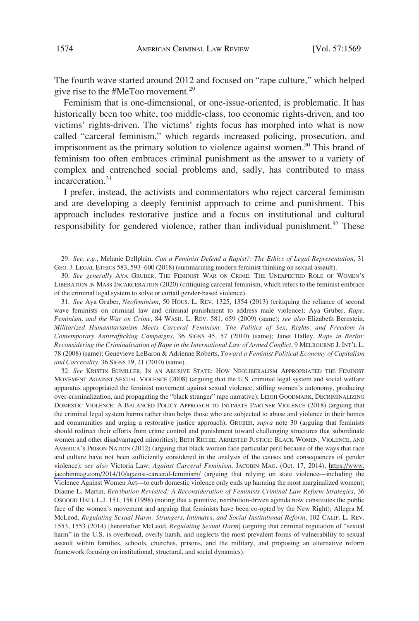The fourth wave started around 2012 and focused on "rape culture," which helped give rise to the #MeToo movement.<sup>29</sup>

Feminism that is one-dimensional, or one-issue-oriented, is problematic. It has historically been too white, too middle-class, too economic rights-driven, and too victims' rights-driven. The victims' rights focus has morphed into what is now called "carceral feminism," which regards increased policing, prosecution, and imprisonment as the primary solution to violence against women.<sup>30</sup> This brand of feminism too often embraces criminal punishment as the answer to a variety of complex and entrenched social problems and, sadly, has contributed to mass incarceration.<sup>31</sup>

I prefer, instead, the activists and commentators who reject carceral feminism and are developing a deeply feminist approach to crime and punishment. This approach includes restorative justice and a focus on institutional and cultural responsibility for gendered violence, rather than individual punishment.<sup>32</sup> These

31. *See* Aya Gruber, *Neofeminism*, 50 HOUS. L. REV. 1325, 1354 (2013) (critiquing the reliance of second wave feminists on criminal law and criminal punishment to address male violence); Aya Gruber, *Rape, Feminism, and the War on Crime*, 84 WASH. L. REV. 581, 659 (2009) (same); *see also* Elizabeth Bernstein, *Militarized Humanitarianism Meets Carceral Feminism: The Politics of Sex, Rights, and Freedom in Contemporary Antitrafficking Campaigns*, 36 SIGNS 45, 57 (2010) (same); Janet Halley, *Rape in Berlin: Reconsidering the Criminalisation of Rape in the International Law of Armed Conflict*, 9 MELBOURNE J. INT'L L. 78 (2008) (same); Genevieve LeBaron & Adrienne Roberts, *Toward a Feminist Political Economy of Capitalism and Carcerality*, 36 SIGNS 19, 21 (2010) (same).

*See* KRISTIN BUMILLER, IN AN ABUSIVE STATE: HOW NEOLIBERALISM APPROPRIATED THE FEMINIST 32. MOVEMENT AGAINST SEXUAL VIOLENCE (2008) (arguing that the U.S. criminal legal system and social welfare apparatus appropriated the feminist movement against sexual violence, stifling women's autonomy, producing over-criminalization, and propagating the "black stranger" rape narrative); LEIGH GOODMARK, DECRIMINALIZING DOMESTIC VIOLENCE: A BALANCED POLICY APPROACH TO INTIMATE PARTNER VIOLENCE (2018) (arguing that the criminal legal system harms rather than helps those who are subjected to abuse and violence in their homes and communities and urging a restorative justice approach); GRUBER, *supra* note 30 (arguing that feminists should redirect their efforts from crime control and punishment toward challenging structures that subordinate women and other disadvantaged minorities); BETH RICHIE, ARRESTED JUSTICE: BLACK WOMEN, VIOLENCE, AND AMERICA'S PRISON NATION (2012) (arguing that black women face particular peril because of the ways that race and culture have not been sufficiently considered in the analysis of the causes and consequences of gender violence); *see also* Victoria Law, *Against Carceral Feminism*, JACOBIN MAG. (Oct. 17, 2014), [https://www.](https://www.jacobinmag.com/2014/10/against-carceral-feminism/)  [jacobinmag.com/2014/10/against-carceral-feminism/](https://www.jacobinmag.com/2014/10/against-carceral-feminism/) (arguing that relying on state violence—including the Violence Against Women Act—to curb domestic violence only ends up harming the most marginalized women); Dianne L. Martin, *Retribution Revisited: A Reconsideration of Feminists Criminal Law Reform Strategies*, 36 OSGOOD HALL L.J. 151, 158 (1998) (noting that a punitive, retribution-driven agenda now constitutes the public face of the women's movement and arguing that feminists have been co-opted by the New Right); Allegra M. McLeod, *Regulating Sexual Harm: Strangers, Intimates, and Social Institutional Reform*, 102 CALIF. L. REV. 1553, 1553 (2014) [hereinafter McLeod, *Regulating Sexual Harm*] (arguing that criminal regulation of "sexual harm" in the U.S. is overbroad, overly harsh, and neglects the most prevalent forms of vulnerability to sexual assault within families, schools, churches, prisons, and the military, and proposing an alternative reform framework focusing on institutional, structural, and social dynamics).

<sup>29.</sup> *See, e.g*., Melanie Dellplain, *Can a Feminist Defend a Rapist?: The Ethics of Legal Representation*, 31 GEO. J. LEGAL ETHICS 583, 593–600 (2018) (summarizing modern feminist thinking on sexual assault).

<sup>30.</sup> *See generally* AYA GRUBER, THE FEMINIST WAR ON CRIME: THE UNEXPECTED ROLE OF WOMEN'S LIBERATION IN MASS INCARCERATION (2020) (critiquing carceral feminism, which refers to the feminist embrace of the criminal legal system to solve or curtail gender-based violence).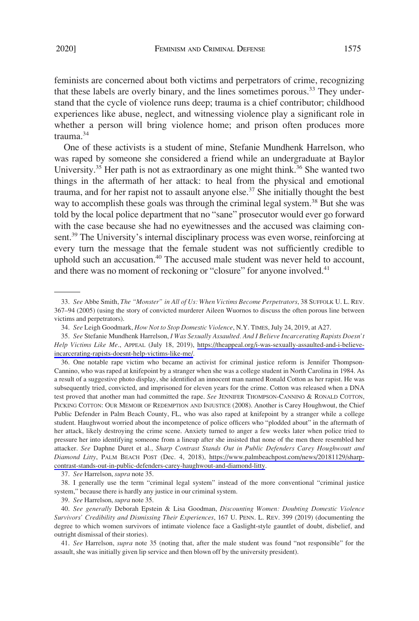feminists are concerned about both victims and perpetrators of crime, recognizing that these labels are overly binary, and the lines sometimes porous.<sup>33</sup> They understand that the cycle of violence runs deep; trauma is a chief contributor; childhood experiences like abuse, neglect, and witnessing violence play a significant role in whether a person will bring violence home; and prison often produces more trauma.34

One of these activists is a student of mine, Stefanie Mundhenk Harrelson, who was raped by someone she considered a friend while an undergraduate at Baylor University.<sup>35</sup> Her path is not as extraordinary as one might think.<sup>36</sup> She wanted two things in the aftermath of her attack: to heal from the physical and emotional trauma, and for her rapist not to assault anyone else.<sup>37</sup> She initially thought the best way to accomplish these goals was through the criminal legal system.<sup>38</sup> But she was told by the local police department that no "sane" prosecutor would ever go forward with the case because she had no eyewitnesses and the accused was claiming consent.<sup>39</sup> The University's internal disciplinary process was even worse, reinforcing at every turn the message that the female student was not sufficiently credible to uphold such an accusation.<sup>40</sup> The accused male student was never held to account, and there was no moment of reckoning or "closure" for anyone involved.<sup>41</sup>

36. One notable rape victim who became an activist for criminal justice reform is Jennifer Thompson-Cannino, who was raped at knifepoint by a stranger when she was a college student in North Carolina in 1984. As a result of a suggestive photo display, she identified an innocent man named Ronald Cotton as her rapist. He was subsequently tried, convicted, and imprisoned for eleven years for the crime. Cotton was released when a DNA test proved that another man had committed the rape. *See* JENNIFER THOMPSON-CANNINO & RONALD COTTON, PICKING COTTON: OUR MEMOIR OF REDEMPTION AND INJUSTICE (2008). Another is Carey Houghwout, the Chief Public Defender in Palm Beach County, FL, who was also raped at knifepoint by a stranger while a college student. Haughwout worried about the incompetence of police officers who "plodded about" in the aftermath of her attack, likely destroying the crime scene. Anxiety turned to anger a few weeks later when police tried to pressure her into identifying someone from a lineup after she insisted that none of the men there resembled her attacker. *See* Daphne Duret et al., *Sharp Contrast Stands Out in Public Defenders Carey Houghwoutt and Diamond Litty*, PALM BEACH POST (Dec. 4, 2018), [https://www.palmbeachpost.com/news/20181129/sharp](https://www.palmbeachpost.com/news/20181129/sharp-contrast-stands-out-in-public-defenders-carey-haughwout-and-diamond-litty)[contrast-stands-out-in-public-defenders-carey-haughwout-and-diamond-litty.](https://www.palmbeachpost.com/news/20181129/sharp-contrast-stands-out-in-public-defenders-carey-haughwout-and-diamond-litty)

37. *See* Harrelson, *supra* note 35.

38. I generally use the term "criminal legal system" instead of the more conventional "criminal justice system," because there is hardly any justice in our criminal system.

39. *See* Harrelson, *supra* note 35.

40. *See generally* Deborah Epstein & Lisa Goodman, *Discounting Women: Doubting Domestic Violence Survivors' Credibility and Dismissing Their Experiences*, 167 U. PENN. L. REV. 399 (2019) (documenting the degree to which women survivors of intimate violence face a Gaslight-style gauntlet of doubt, disbelief, and outright dismissal of their stories).

41. *See* Harrelson, *supra* note 35 (noting that, after the male student was found "not responsible" for the assault, she was initially given lip service and then blown off by the university president).

<sup>33.</sup> *See* Abbe Smith, *The "Monster" in All of Us: When Victims Become Perpetrators*, 38 SUFFOLK U. L. REV. 367–94 (2005) (using the story of convicted murderer Aileen Wuornos to discuss the often porous line between victims and perpetrators).

<sup>34.</sup> *See* Leigh Goodmark, *How Not to Stop Domestic Violence*, N.Y. TIMES, July 24, 2019, at A27.

*See* Stefanie Mundhenk Harrelson, *I Was Sexually Assaulted. And I Believe Incarcerating Rapists Doesn't*  35. *Help Victims Like Me*., APPEAL (July 18, 2019), [https://theappeal.org/i-was-sexually-assaulted-and-i-believe](https://theappeal.org/i-was-sexually-assaulted-and-i-believe-incarcerating-rapists-doesnt-help-victims-like-me/)[incarcerating-rapists-doesnt-help-victims-like-me/.](https://theappeal.org/i-was-sexually-assaulted-and-i-believe-incarcerating-rapists-doesnt-help-victims-like-me/)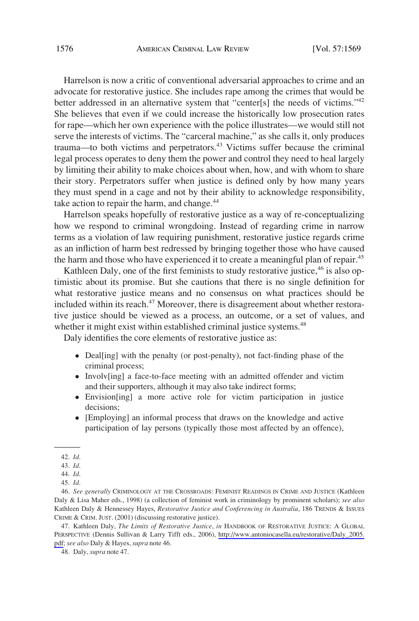Harrelson is now a critic of conventional adversarial approaches to crime and an advocate for restorative justice. She includes rape among the crimes that would be better addressed in an alternative system that "center[s] the needs of victims." $42$ She believes that even if we could increase the historically low prosecution rates for rape—which her own experience with the police illustrates—we would still not serve the interests of victims. The "carceral machine," as she calls it, only produces trauma—to both victims and perpetrators.43 Victims suffer because the criminal legal process operates to deny them the power and control they need to heal largely by limiting their ability to make choices about when, how, and with whom to share their story. Perpetrators suffer when justice is defined only by how many years they must spend in a cage and not by their ability to acknowledge responsibility, take action to repair the harm, and change.<sup>44</sup>

Harrelson speaks hopefully of restorative justice as a way of re-conceptualizing how we respond to criminal wrongdoing. Instead of regarding crime in narrow terms as a violation of law requiring punishment, restorative justice regards crime as an infliction of harm best redressed by bringing together those who have caused the harm and those who have experienced it to create a meaningful plan of repair.<sup>45</sup>

Kathleen Daly, one of the first feminists to study restorative justice,<sup>46</sup> is also optimistic about its promise. But she cautions that there is no single definition for what restorative justice means and no consensus on what practices should be included within its reach.<sup>47</sup> Moreover, there is disagreement about whether restorative justice should be viewed as a process, an outcome, or a set of values, and whether it might exist within established criminal justice systems.<sup>48</sup>

Daly identifies the core elements of restorative justice as:

- Deal[ing] with the penalty (or post-penalty), not fact-finding phase of the criminal process;
- � Involv[ing] a face-to-face meeting with an admitted offender and victim and their supporters, although it may also take indirect forms;
- � Envision[ing] a more active role for victim participation in justice decisions;
- � [Employing] an informal process that draws on the knowledge and active participation of lay persons (typically those most affected by an offence),

47. Kathleen Daly, *The Limits of Restorative Justice*, *in* HANDBOOK OF RESTORATIVE JUSTICE: A GLOBAL PERSPECTIVE (Dennis Sullivan & Larry Tifft eds., 2006), [http://www.antoniocasella.eu/restorative/Daly\\_2005.](http://www.antoniocasella.eu/restorative/Daly_2005.pdf) [pdf;](http://www.antoniocasella.eu/restorative/Daly_2005.pdf) *see also* Daly & Hayes, *supra* note 46.

<sup>42.</sup> *Id*.

<sup>43.</sup> *Id*.

<sup>44.</sup> *Id*.

<sup>45.</sup> *Id*.

<sup>46.</sup> *See generally* CRIMINOLOGY AT THE CROSSROADS: FEMINIST READINGS IN CRIME AND JUSTICE (Kathleen Daly & Lisa Maher eds., 1998) (a collection of feminist work in criminology by prominent scholars); *see also*  Kathleen Daly & Hennessey Hayes, *Restorative Justice and Conferencing in Australia*, 186 TRENDS & ISSUES CRIME & CRIM. JUST. (2001) (discussing restorative justice).

<sup>48.</sup> Daly, *supra* note 47.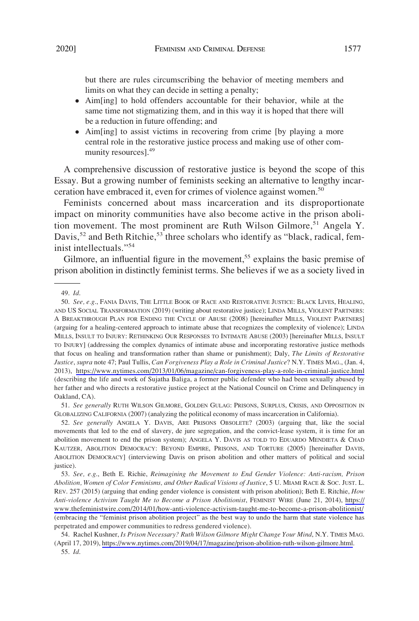but there are rules circumscribing the behavior of meeting members and limits on what they can decide in setting a penalty;

- � Aim[ing] to hold offenders accountable for their behavior, while at the same time not stigmatizing them, and in this way it is hoped that there will be a reduction in future offending; and
- � Aim[ing] to assist victims in recovering from crime [by playing a more central role in the restorative justice process and making use of other community resources].<sup>49</sup>

A comprehensive discussion of restorative justice is beyond the scope of this Essay. But a growing number of feminists seeking an alternative to lengthy incarceration have embraced it, even for crimes of violence against women.<sup>50</sup>

Feminists concerned about mass incarceration and its disproportionate impact on minority communities have also become active in the prison abolition movement. The most prominent are Ruth Wilson Gilmore,<sup>51</sup> Angela Y. Davis,<sup>52</sup> and Beth Ritchie,<sup>53</sup> three scholars who identify as "black, radical, feminist intellectuals."<sup>54</sup>

Gilmore, an influential figure in the movement,<sup>55</sup> explains the basic premise of prison abolition in distinctly feminist terms. She believes if we as a society lived in

51. *See generally* RUTH WILSON GILMORE, GOLDEN GULAG: PRISONS, SURPLUS, CRISIS, AND OPPOSITION IN GLOBALIZING CALIFORNIA (2007) (analyzing the political economy of mass incarceration in California).

52. *See generally* ANGELA Y. DAVIS, ARE PRISONS OBSOLETE? (2003) (arguing that, like the social movements that led to the end of slavery, de jure segregation, and the convict-lease system, it is time for an abolition movement to end the prison system); ANGELA Y. DAVIS AS TOLD TO EDUARDO MENDIETA & CHAD KAUTZER, ABOLITION DEMOCRACY: BEYOND EMPIRE, PRISONS, AND TORTURE (2005) [hereinafter DAVIS, ABOLITION DEMOCRACY] (interviewing Davis on prison abolition and other matters of political and social justice).

<sup>49.</sup> *Id*.

<sup>50.</sup> See, e.g., FANIA DAVIS, THE LITTLE BOOK OF RACE AND RESTORATIVE JUSTICE: BLACK LIVES, HEALING, AND US SOCIAL TRANSFORMATION (2019) (writing about restorative justice); LINDA MILLS, VIOLENT PARTNERS: A BREAKTHROUGH PLAN FOR ENDING THE CYCLE OF ABUSE (2008) [hereinafter MILLS, VIOLENT PARTNERS] (arguing for a healing-centered approach to intimate abuse that recognizes the complexity of violence); LINDA MILLS, INSULT TO INJURY: RETHINKING OUR RESPONSES TO INTIMATE ABUSE (2003) [hereinafter MILLS, INSULT TO INJURY] (addressing the complex dynamics of intimate abuse and incorporating restorative justice methods that focus on healing and transformation rather than shame or punishment); Daly, *The Limits of Restorative Justice*, *supra* note 47; Paul Tullis, *Can Forgiveness Play a Role in Criminal Justice*? N.Y. TIMES MAG., (Jan. 4, 2013), <https://www.nytimes.com/2013/01/06/magazine/can-forgiveness-play-a-role-in-criminal-justice.html> (describing the life and work of Sujatha Baliga, a former public defender who had been sexually abused by her father and who directs a restorative justice project at the National Council on Crime and Delinquency in Oakland, CA).

*See, e.g*., Beth E. Richie, *Reimagining the Movement to End Gender Violence: Anti-racism, Prison*  53. *Abolition, Women of Color Feminisms, and Other Radical Visions of Justice*, 5 U. MIAMI RACE & SOC. JUST. L. REV. 257 (2015) (arguing that ending gender violence is consistent with prison abolition); Beth E. Ritchie, *How Anti-violence Activism Taught Me to Become a Prison Abolitionist*, FEMINIST WIRE (June 21, 2014), [https://](https://www.thefeministwire.com/2014/01/how-anti-violence-activism-taught-me-to-become-a-prison-abolitionist/) [www.thefeministwire.com/2014/01/how-anti-violence-activism-taught-me-to-become-a-prison-abolitionist/](https://www.thefeministwire.com/2014/01/how-anti-violence-activism-taught-me-to-become-a-prison-abolitionist/) (embracing the "feminist prison abolition project" as the best way to undo the harm that state violence has perpetrated and empower communities to redress gendered violence).

<sup>54.</sup> Rachel Kushner, *Is Prison Necessary? Ruth Wilson Gilmore Might Change Your Mind*, N.Y. TIMES MAG. (April 17, 2019), [https://www.nytimes.com/2019/04/17/magazine/prison-abolition-ruth-wilson-gilmore.html.](https://www.nytimes.com/2019/04/17/magazine/prison-abolition-ruth-wilson-gilmore.html) 55. *Id*.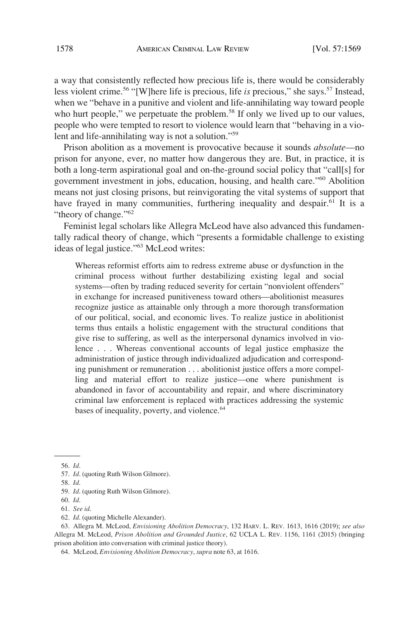a way that consistently reflected how precious life is, there would be considerably less violent crime.<sup>56</sup> "[W]here life is precious, life *is* precious," she says.<sup>57</sup> Instead, when we "behave in a punitive and violent and life-annihilating way toward people who hurt people," we perpetuate the problem.<sup>58</sup> If only we lived up to our values, people who were tempted to resort to violence would learn that "behaving in a violent and life-annihilating way is not a solution."<sup>59</sup>

Prison abolition as a movement is provocative because it sounds *absolute*—no prison for anyone, ever, no matter how dangerous they are. But, in practice, it is both a long-term aspirational goal and on-the-ground social policy that "call[s] for government investment in jobs, education, housing, and health care."60 Abolition means not just closing prisons, but reinvigorating the vital systems of support that have frayed in many communities, furthering inequality and despair.<sup>61</sup> It is a "theory of change."<sup>62</sup>

Feminist legal scholars like Allegra McLeod have also advanced this fundamentally radical theory of change, which "presents a formidable challenge to existing ideas of legal justice."63 McLeod writes:

Whereas reformist efforts aim to redress extreme abuse or dysfunction in the criminal process without further destabilizing existing legal and social systems—often by trading reduced severity for certain "nonviolent offenders" in exchange for increased punitiveness toward others—abolitionist measures recognize justice as attainable only through a more thorough transformation of our political, social, and economic lives. To realize justice in abolitionist terms thus entails a holistic engagement with the structural conditions that give rise to suffering, as well as the interpersonal dynamics involved in violence . . . Whereas conventional accounts of legal justice emphasize the administration of justice through individualized adjudication and corresponding punishment or remuneration . . . abolitionist justice offers a more compelling and material effort to realize justice—one where punishment is abandoned in favor of accountability and repair, and where discriminatory criminal law enforcement is replaced with practices addressing the systemic bases of inequality, poverty, and violence.<sup>64</sup>

58. *Id*.

<sup>56.</sup> *Id*.

<sup>57.</sup> *Id*. (quoting Ruth Wilson Gilmore).

<sup>59.</sup> *Id*. (quoting Ruth Wilson Gilmore).

<sup>60.</sup> *Id*.

<sup>61.</sup> *See id*.

<sup>62.</sup> *Id*. (quoting Michelle Alexander).

<sup>63.</sup> Allegra M. McLeod, *Envisioning Abolition Democracy*, 132 HARV. L. REV. 1613, 1616 (2019); *see also*  Allegra M. McLeod, *Prison Abolition and Grounded Justice*, 62 UCLA L. REV. 1156, 1161 (2015) (bringing prison abolition into conversation with criminal justice theory).

<sup>64.</sup> McLeod, *Envisioning Abolition Democracy*, *supra* note 63, at 1616.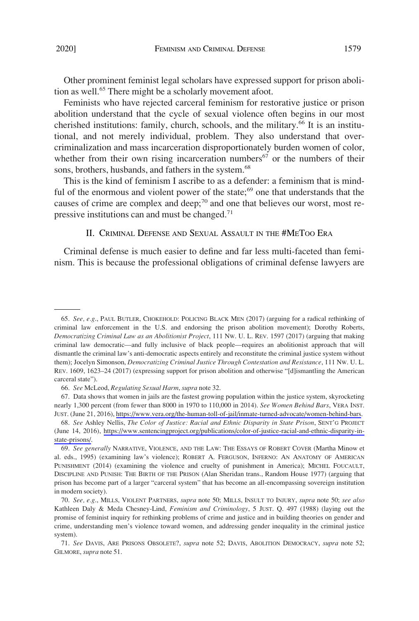Other prominent feminist legal scholars have expressed support for prison abolition as well.<sup>65</sup> There might be a scholarly movement afoot.

Feminists who have rejected carceral feminism for restorative justice or prison abolition understand that the cycle of sexual violence often begins in our most cherished institutions: family, church, schools, and the military.<sup>66</sup> It is an institutional, and not merely individual, problem. They also understand that overcriminalization and mass incarceration disproportionately burden women of color, whether from their own rising incarceration numbers $67$  or the numbers of their sons, brothers, husbands, and fathers in the system.<sup>68</sup>

This is the kind of feminism I ascribe to as a defender: a feminism that is mindful of the enormous and violent power of the state; $69$  one that understands that the causes of crime are complex and deep;<sup>70</sup> and one that believes our worst, most repressive institutions can and must be changed.<sup>71</sup>

# II. CRIMINAL DEFENSE AND SEXUAL ASSAULT IN THE #METOO ERA

Criminal defense is much easier to define and far less multi-faceted than feminism. This is because the professional obligations of criminal defense lawyers are

<sup>65.</sup> *See, e.g*., PAUL BUTLER, CHOKEHOLD: POLICING BLACK MEN (2017) (arguing for a radical rethinking of criminal law enforcement in the U.S. and endorsing the prison abolition movement); Dorothy Roberts, *Democratizing Criminal Law as an Abolitionist Project*, 111 NW. U. L. REV. 1597 (2017) (arguing that making criminal law democratic—and fully inclusive of black people—requires an abolitionist approach that will dismantle the criminal law's anti-democratic aspects entirely and reconstitute the criminal justice system without them); Jocelyn Simonson, *Democratizing Criminal Justice Through Contestation and Resistance*, 111 NW. U. L. REV. 1609, 1623–24 (2017) (expressing support for prison abolition and otherwise "[d]ismantling the American carceral state").

<sup>66.</sup> *See* McLeod, *Regulating Sexual Harm*, *supra* note 32.

<sup>67.</sup> Data shows that women in jails are the fastest growing population within the justice system, skyrocketing nearly 1,300 percent (from fewer than 8000 in 1970 to 110,000 in 2014). *See Women Behind Bars*, VERA INST. JUST. (June 21, 2016),<https://www.vera.org/the-human-toll-of-jail/inmate-turned-advocate/women-behind-bars>.

*See* Ashley Nellis, *The Color of Justice: Racial and Ethnic Disparity in State Prison*, SENT'G PROJECT 68. (June 14, 2016), [https://www.sentencingproject.org/publications/color-of-justice-racial-and-ethnic-disparity-in](https://www.sentencingproject.org/publications/color-of-justice-racial-and-ethnic-disparity-in-state-prisons/)[state-prisons/.](https://www.sentencingproject.org/publications/color-of-justice-racial-and-ethnic-disparity-in-state-prisons/)

<sup>69.</sup> *See generally* NARRATIVE, VIOLENCE, AND THE LAW: THE ESSAYS OF ROBERT COVER (Martha Minow et al. eds., 1995) (examining law's violence); ROBERT A. FERGUSON, INFERNO: AN ANATOMY OF AMERICAN PUNISHMENT (2014) (examining the violence and cruelty of punishment in America); MICHEL FOUCAULT, DISCIPLINE AND PUNISH: THE BIRTH OF THE PRISON (Alan Sheridan trans., Random House 1977) (arguing that prison has become part of a larger "carceral system" that has become an all-encompassing sovereign institution in modern society).

<sup>70.</sup> *See, e.g*., MILLS, VIOLENT PARTNERS, *supra* note 50; MILLS, INSULT TO INJURY, *supra* note 50; *see also*  Kathleen Daly & Meda Chesney-Lind, *Feminism and Criminology*, 5 JUST. Q. 497 (1988) (laying out the promise of feminist inquiry for rethinking problems of crime and justice and in building theories on gender and crime, understanding men's violence toward women, and addressing gender inequality in the criminal justice system).

<sup>71.</sup> *See* DAVIS, ARE PRISONS OBSOLETE?, *supra* note 52; DAVIS, ABOLITION DEMOCRACY, *supra* note 52; GILMORE, *supra* note 51.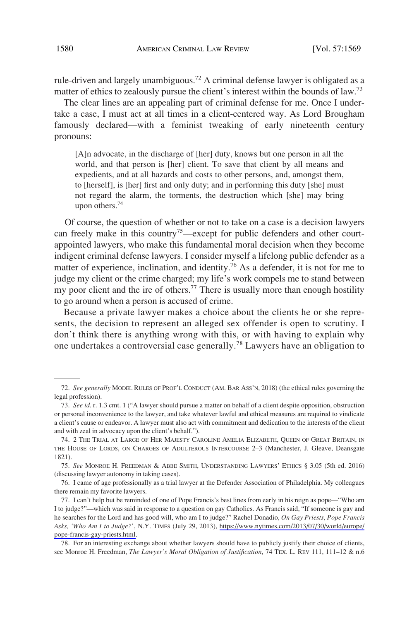rule-driven and largely unambiguous.<sup>72</sup> A criminal defense lawyer is obligated as a matter of ethics to zealously pursue the client's interest within the bounds of law.<sup>73</sup>

The clear lines are an appealing part of criminal defense for me. Once I undertake a case, I must act at all times in a client-centered way. As Lord Brougham famously declared—with a feminist tweaking of early nineteenth century pronouns:

[A]n advocate, in the discharge of [her] duty, knows but one person in all the world, and that person is [her] client. To save that client by all means and expedients, and at all hazards and costs to other persons, and, amongst them, to [herself], is [her] first and only duty; and in performing this duty [she] must not regard the alarm, the torments, the destruction which [she] may bring upon others.<sup>74</sup>

Of course, the question of whether or not to take on a case is a decision lawyers can freely make in this country<sup>75</sup>—except for public defenders and other courtappointed lawyers, who make this fundamental moral decision when they become indigent criminal defense lawyers. I consider myself a lifelong public defender as a matter of experience, inclination, and identity.<sup>76</sup> As a defender, it is not for me to judge my client or the crime charged; my life's work compels me to stand between my poor client and the ire of others.<sup>77</sup> There is usually more than enough hostility to go around when a person is accused of crime.

Because a private lawyer makes a choice about the clients he or she represents, the decision to represent an alleged sex offender is open to scrutiny. I don't think there is anything wrong with this, or with having to explain why one undertakes a controversial case generally.78 Lawyers have an obligation to

<sup>72.</sup> *See generally* MODEL RULES OF PROF'L CONDUCT (AM. BAR ASS'N, 2018) (the ethical rules governing the legal profession).

<sup>73.</sup> *See id*. r. 1.3 cmt. 1 ("A lawyer should pursue a matter on behalf of a client despite opposition, obstruction or personal inconvenience to the lawyer, and take whatever lawful and ethical measures are required to vindicate a client's cause or endeavor. A lawyer must also act with commitment and dedication to the interests of the client and with zeal in advocacy upon the client's behalf.").

<sup>74. 2</sup> THE TRIAL AT LARGE OF HER MAJESTY CAROLINE AMELIA ELIZABETH, QUEEN OF GREAT BRITAIN, IN THE HOUSE OF LORDS, ON CHARGES OF ADULTEROUS INTERCOURSE 2–3 (Manchester, J. Gleave, Deansgate 1821).

<sup>75.</sup> *See* MONROE H. FREEDMAN & ABBE SMITH, UNDERSTANDING LAWYERS' ETHICS § 3.05 (5th ed. 2016) (discussing lawyer autonomy in taking cases).

<sup>76.</sup> I came of age professionally as a trial lawyer at the Defender Association of Philadelphia. My colleagues there remain my favorite lawyers.

<sup>77.</sup> I can't help but be reminded of one of Pope Francis's best lines from early in his reign as pope—"Who am I to judge?"—which was said in response to a question on gay Catholics. As Francis said, "If someone is gay and he searches for the Lord and has good will, who am I to judge?" Rachel Donadio, *On Gay Priests, Pope Francis Asks, 'Who Am I to Judge?'*, N.Y. TIMES (July 29, 2013), [https://www.nytimes.com/2013/07/30/world/europe/](https://www.nytimes.com/2013/07/30/world/europe/pope-francis-gay-priests.html)  [pope-francis-gay-priests.html](https://www.nytimes.com/2013/07/30/world/europe/pope-francis-gay-priests.html).

<sup>78.</sup> For an interesting exchange about whether lawyers should have to publicly justify their choice of clients, see Monroe H. Freedman, *The Lawyer's Moral Obligation of Justification*, 74 TEX. L. REV 111, 111–12 & n.6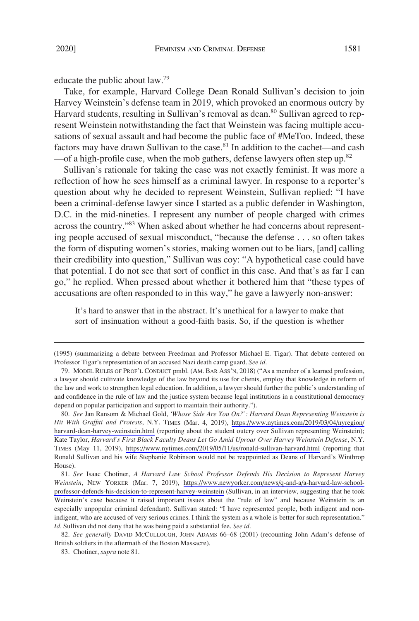educate the public about law.79

Take, for example, Harvard College Dean Ronald Sullivan's decision to join Harvey Weinstein's defense team in 2019, which provoked an enormous outcry by Harvard students, resulting in Sullivan's removal as dean.<sup>80</sup> Sullivan agreed to represent Weinstein notwithstanding the fact that Weinstein was facing multiple accusations of sexual assault and had become the public face of #MeToo. Indeed, these factors may have drawn Sullivan to the case.<sup>81</sup> In addition to the cachet—and cash  $-$ of a high-profile case, when the mob gathers, defense lawyers often step up.<sup>82</sup>

Sullivan's rationale for taking the case was not exactly feminist. It was more a reflection of how he sees himself as a criminal lawyer. In response to a reporter's question about why he decided to represent Weinstein, Sullivan replied: "I have been a criminal-defense lawyer since I started as a public defender in Washington, D.C. in the mid-nineties. I represent any number of people charged with crimes across the country."<sup>83</sup> When asked about whether he had concerns about representing people accused of sexual misconduct, "because the defense . . . so often takes the form of disputing women's stories, making women out to be liars, [and] calling their credibility into question," Sullivan was coy: "A hypothetical case could have that potential. I do not see that sort of conflict in this case. And that's as far I can go," he replied. When pressed about whether it bothered him that "these types of accusations are often responded to in this way," he gave a lawyerly non-answer:

It's hard to answer that in the abstract. It's unethical for a lawyer to make that sort of insinuation without a good-faith basis. So, if the question is whether

<sup>(1995) (</sup>summarizing a debate between Freedman and Professor Michael E. Tigar). That debate centered on Professor Tigar's representation of an accused Nazi death camp guard. *See id*.

<sup>79.</sup> MODEL RULES OF PROF'L CONDUCT pmbl. (AM. BAR ASS'N, 2018) ("As a member of a learned profession, a lawyer should cultivate knowledge of the law beyond its use for clients, employ that knowledge in reform of the law and work to strengthen legal education. In addition, a lawyer should further the public's understanding of and confidence in the rule of law and the justice system because legal institutions in a constitutional democracy depend on popular participation and support to maintain their authority.").

*See* Jan Ransom & Michael Gold, *'Whose Side Are You On?': Harvard Dean Representing Weinstein is*  80. *Hit With Graffiti and Protests*, N.Y. TIMES (Mar. 4, 2019), [https://www.nytimes.com/2019/03/04/nyregion/](https://www.nytimes.com/2019/03/04/nyregion/harvard-dean-harvey-weinstein.html)  [harvard-dean-harvey-weinstein.html](https://www.nytimes.com/2019/03/04/nyregion/harvard-dean-harvey-weinstein.html) (reporting about the student outcry over Sullivan representing Weinstein); Kate Taylor, *Harvard's First Black Faculty Deans Let Go Amid Uproar Over Harvey Weinstein Defense*, N.Y. TIMES (May 11, 2019), <https://www.nytimes.com/2019/05/11/us/ronald-sullivan-harvard.html> (reporting that Ronald Sullivan and his wife Stephanie Robinson would not be reappointed as Deans of Harvard's Winthrop House).

*See* Isaac Chotiner, *A Harvard Law School Professor Defends His Decision to Represent Harvey*  81. *Weinstein*, NEW YORKER (Mar. 7, 2019), [https://www.newyorker.com/news/q-and-a/a-harvard-law-school](https://www.newyorker.com/news/q-and-a/a-harvard-law-school-professor-defends-his-decision-to-represent-harvey-weinstein)[professor-defends-his-decision-to-represent-harvey-weinstein](https://www.newyorker.com/news/q-and-a/a-harvard-law-school-professor-defends-his-decision-to-represent-harvey-weinstein) (Sullivan, in an interview, suggesting that he took Weinstein's case because it raised important issues about the "rule of law" and because Weinstein is an especially unpopular criminal defendant). Sullivan stated: "I have represented people, both indigent and nonindigent, who are accused of very serious crimes. I think the system as a whole is better for such representation." *Id*. Sullivan did not deny that he was being paid a substantial fee. *See id*.

<sup>82.</sup> *See generally* DAVID MCCULLOUGH, JOHN ADAMS 66–68 (2001) (recounting John Adam's defense of British soldiers in the aftermath of the Boston Massacre).

<sup>83.</sup> Chotiner, *supra* note 81.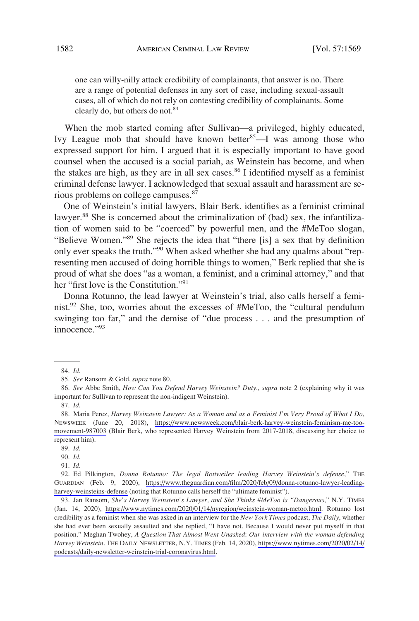one can willy-nilly attack credibility of complainants, that answer is no. There are a range of potential defenses in any sort of case, including sexual-assault cases, all of which do not rely on contesting credibility of complainants. Some clearly do, but others do not.<sup>84</sup>

When the mob started coming after Sullivan—a privileged, highly educated, Ivy League mob that should have known better  $85$ —I was among those who expressed support for him. I argued that it is especially important to have good counsel when the accused is a social pariah, as Weinstein has become, and when the stakes are high, as they are in all sex cases.<sup>86</sup> I identified myself as a feminist criminal defense lawyer. I acknowledged that sexual assault and harassment are serious problems on college campuses.<sup>87</sup>

One of Weinstein's initial lawyers, Blair Berk, identifies as a feminist criminal lawyer.<sup>88</sup> She is concerned about the criminalization of (bad) sex, the infantilization of women said to be "coerced" by powerful men, and the #MeToo slogan, "Believe Women."89 She rejects the idea that "there [is] a sex that by definition only ever speaks the truth."90 When asked whether she had any qualms about "representing men accused of doing horrible things to women," Berk replied that she is proud of what she does "as a woman, a feminist, and a criminal attorney," and that her "first love is the Constitution."91

Donna Rotunno, the lead lawyer at Weinstein's trial, also calls herself a feminist.<sup>92</sup> She, too, worries about the excesses of #MeToo, the "cultural pendulum swinging too far," and the demise of "due process . . . and the presumption of innocence."<sup>93</sup>

90. *Id*.

93. Jan Ransom, *She's Harvey Weinstein's Lawyer, and She Thinks #MeToo is "Dangerous,"* N.Y. TIMES (Jan. 14, 2020), [https://www.nytimes.com/2020/01/14/nyregion/weinstein-woman-metoo.html.](https://www.nytimes.com/2020/01/14/nyregion/weinstein-woman-metoo.html) Rotunno lost credibility as a feminist when she was asked in an interview for the *New York Times* podcast, *The Daily*, whether she had ever been sexually assaulted and she replied, "I have not. Because I would never put myself in that position." Meghan Twohey, *A Question That Almost Went Unasked*: *Our interview with the woman defending Harvey Weinstein*. THE DAILY NEWSLETTER, N.Y. TIMES (Feb. 14, 2020), [https://www.nytimes.com/2020/02/14/](https://www.nytimes.com/2020/02/14/podcasts/daily-newsletter-weinstein-trial-coronavirus.html) [podcasts/daily-newsletter-weinstein-trial-coronavirus.html](https://www.nytimes.com/2020/02/14/podcasts/daily-newsletter-weinstein-trial-coronavirus.html).

<sup>84.</sup> *Id*.

<sup>85.</sup> *See* Ransom & Gold, *supra* note 80.

<sup>86.</sup> *See* Abbe Smith, *How Can You Defend Harvey Weinstein? Duty*., *supra* note 2 (explaining why it was important for Sullivan to represent the non-indigent Weinstein).

<sup>87.</sup> *Id*.

Maria Perez, *Harvey Weinstein Lawyer: As a Woman and as a Feminist I'm Very Proud of What I Do*, 88. NEWSWEEK (June 20, 2018), [https://www.newsweek.com/blair-berk-harvey-weinstein-feminism-me-too](https://www.newsweek.com/blair-berk-harvey-weinstein-feminism-me-too-movement-987003)[movement-987003](https://www.newsweek.com/blair-berk-harvey-weinstein-feminism-me-too-movement-987003) (Blair Berk, who represented Harvey Weinstein from 2017-2018, discussing her choice to represent him).

<sup>89.</sup> *Id*.

<sup>91.</sup> *Id.* 

Ed Pilkington, *Donna Rotunno: The legal Rottweiler leading Harvey Weinstein's defense*," THE 92. GUARDIAN (Feb. 9, 2020), [https://www.theguardian.com/film/2020/feb/09/donna-rotunno-lawyer-leading](https://www.theguardian.com/film/2020/feb/09/donna-rotunno-lawyer-leading-harvey-weinsteins-defense)[harvey-weinsteins-defense](https://www.theguardian.com/film/2020/feb/09/donna-rotunno-lawyer-leading-harvey-weinsteins-defense) (noting that Rotunno calls herself the "ultimate feminist").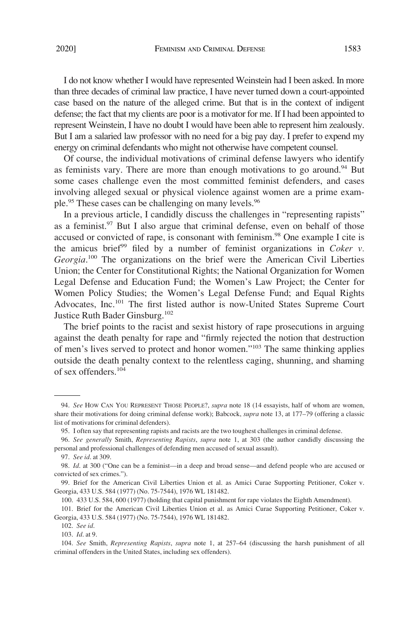I do not know whether I would have represented Weinstein had I been asked. In more than three decades of criminal law practice, I have never turned down a court-appointed case based on the nature of the alleged crime. But that is in the context of indigent defense; the fact that my clients are poor is a motivator for me. If I had been appointed to represent Weinstein, I have no doubt I would have been able to represent him zealously. But I am a salaried law professor with no need for a big pay day. I prefer to expend my energy on criminal defendants who might not otherwise have competent counsel.

Of course, the individual motivations of criminal defense lawyers who identify as feminists vary. There are more than enough motivations to go around.<sup>94</sup> But some cases challenge even the most committed feminist defenders, and cases involving alleged sexual or physical violence against women are a prime example.<sup>95</sup> These cases can be challenging on many levels.<sup>96</sup>

In a previous article, I candidly discuss the challenges in "representing rapists" as a feminist.<sup>97</sup> But I also argue that criminal defense, even on behalf of those accused or convicted of rape, is consonant with feminism.<sup>98</sup> One example I cite is the amicus brief<sup>99</sup> filed by a number of feminist organizations in *Coker v*. Georgia.<sup>100</sup> The organizations on the brief were the American Civil Liberties Union; the Center for Constitutional Rights; the National Organization for Women Legal Defense and Education Fund; the Women's Law Project; the Center for Women Policy Studies; the Women's Legal Defense Fund; and Equal Rights Advocates, Inc.101 The first listed author is now-United States Supreme Court Justice Ruth Bader Ginsburg.102

The brief points to the racist and sexist history of rape prosecutions in arguing against the death penalty for rape and "firmly rejected the notion that destruction of men's lives served to protect and honor women."103 The same thinking applies outside the death penalty context to the relentless caging, shunning, and shaming of sex offenders.104

<sup>94.</sup> *See* HOW CAN YOU REPRESENT THOSE PEOPLE?, *supra* note 18 (14 essayists, half of whom are women, share their motivations for doing criminal defense work); Babcock, *supra* note 13, at 177–79 (offering a classic list of motivations for criminal defenders).

<sup>95.</sup> I often say that representing rapists and racists are the two toughest challenges in criminal defense.

<sup>96.</sup> *See generally* Smith, *Representing Rapists*, *supra* note 1, at 303 (the author candidly discussing the personal and professional challenges of defending men accused of sexual assault).

<sup>97.</sup> *See id*. at 309.

<sup>98.</sup> *Id*. at 300 ("One can be a feminist—in a deep and broad sense—and defend people who are accused or convicted of sex crimes.").

<sup>99.</sup> Brief for the American Civil Liberties Union et al. as Amici Curae Supporting Petitioner, Coker v. Georgia, 433 U.S. 584 (1977) (No. 75-7544), 1976 WL 181482.

<sup>100. 433</sup> U.S. 584, 600 (1977) (holding that capital punishment for rape violates the Eighth Amendment).

<sup>101.</sup> Brief for the American Civil Liberties Union et al. as Amici Curae Supporting Petitioner, Coker v. Georgia, 433 U.S. 584 (1977) (No. 75-7544), 1976 WL 181482.

<sup>102.</sup> *See id*. 103. *Id*. at 9.

<sup>104.</sup> *See* Smith, *Representing Rapists*, *supra* note 1, at 257–64 (discussing the harsh punishment of all criminal offenders in the United States, including sex offenders).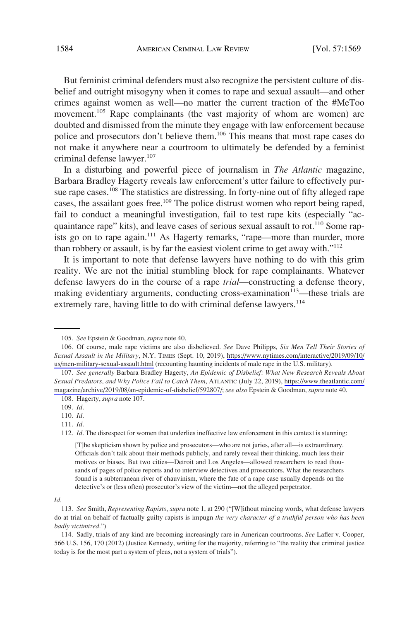But feminist criminal defenders must also recognize the persistent culture of disbelief and outright misogyny when it comes to rape and sexual assault—and other crimes against women as well—no matter the current traction of the #MeToo movement.<sup>105</sup> Rape complainants (the vast majority of whom are women) are doubted and dismissed from the minute they engage with law enforcement because police and prosecutors don't believe them.<sup>106</sup> This means that most rape cases do not make it anywhere near a courtroom to ultimately be defended by a feminist criminal defense lawyer.<sup>107</sup>

In a disturbing and powerful piece of journalism in *The Atlantic* magazine, Barbara Bradley Hagerty reveals law enforcement's utter failure to effectively pursue rape cases.<sup>108</sup> The statistics are distressing. In forty-nine out of fifty alleged rape cases, the assailant goes free.<sup>109</sup> The police distrust women who report being raped, fail to conduct a meaningful investigation, fail to test rape kits (especially "acquaintance rape" kits), and leave cases of serious sexual assault to rot.<sup>110</sup> Some rapists go on to rape again.<sup>111</sup> As Hagerty remarks, "rape—more than murder, more than robbery or assault, is by far the easiest violent crime to get away with."112

It is important to note that defense lawyers have nothing to do with this grim reality. We are not the initial stumbling block for rape complainants. Whatever defense lawyers do in the course of a rape *trial*—constructing a defense theory, making evidentiary arguments, conducting cross-examination<sup>113</sup>—these trials are extremely rare, having little to do with criminal defense lawyers.<sup>114</sup>

#### *Id*.

<sup>105.</sup> *See* Epstein & Goodman, *supra* note 40.

<sup>106.</sup> Of course, male rape victims are also disbelieved. *See Dave Philipps, Six Men Tell Their Stories of Sexual Assault in the Military*, N.Y. TIMES (Sept. 10, 2019), [https://www.nytimes.com/interactive/2019/09/10/](https://www.nytimes.com/interactive/2019/09/10/us/men-military-sexual-assault.html)  [us/men-military-sexual-assault.html](https://www.nytimes.com/interactive/2019/09/10/us/men-military-sexual-assault.html) (recounting haunting incidents of male rape in the U.S. military).

*See generally* Barbara Bradley Hagerty, *An Epidemic of Disbelief: What New Research Reveals About*  107. *Sexual Predators, and Why Police Fail to Catch Them*, ATLANTIC (July 22, 2019), [https://www.theatlantic.com/](https://www.theatlantic.com/magazine/archive/2019/08/an-epidemic-of-disbelief/592807/) [magazine/archive/2019/08/an-epidemic-of-disbelief/592807/;](https://www.theatlantic.com/magazine/archive/2019/08/an-epidemic-of-disbelief/592807/) *see also* Epstein & Goodman, *supra* note 40.

<sup>108.</sup> Hagerty, *supra* note 107.

<sup>109.</sup> *Id*.

<sup>110.</sup> *Id*.

<sup>111.</sup> *Id*.

<sup>112.</sup> *Id*. The disrespect for women that underlies ineffective law enforcement in this context is stunning:

<sup>[</sup>T]he skepticism shown by police and prosecutors—who are not juries, after all—is extraordinary. Officials don't talk about their methods publicly, and rarely reveal their thinking, much less their motives or biases. But two cities—Detroit and Los Angeles—allowed researchers to read thousands of pages of police reports and to interview detectives and prosecutors. What the researchers found is a subterranean river of chauvinism, where the fate of a rape case usually depends on the detective's or (less often) prosecutor's view of the victim—not the alleged perpetrator.

<sup>113.</sup> *See* Smith, *Representing Rapists*, *supra* note 1, at 290 ("[W]ithout mincing words, what defense lawyers do at trial on behalf of factually guilty rapists is impugn *the very character of a truthful person who has been badly victimized*.")

<sup>114.</sup> Sadly, trials of any kind are becoming increasingly rare in American courtrooms. *See* Lafler v. Cooper, 566 U.S. 156, 170 (2012) (Justice Kennedy, writing for the majority, referring to "the reality that criminal justice today is for the most part a system of pleas, not a system of trials").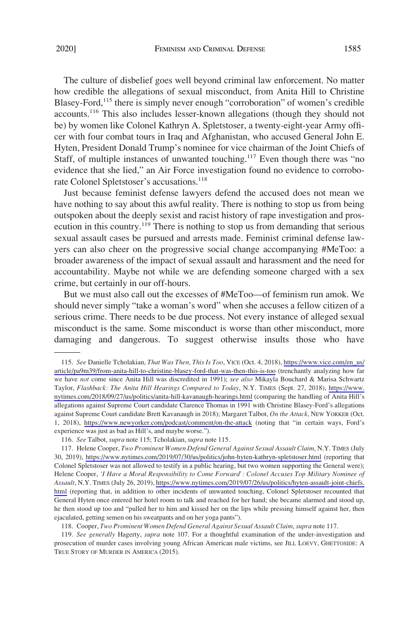The culture of disbelief goes well beyond criminal law enforcement. No matter how credible the allegations of sexual misconduct, from Anita Hill to Christine Blasey-Ford,<sup>115</sup> there is simply never enough "corroboration" of women's credible accounts.<sup>116</sup> This also includes lesser-known allegations (though they should not be) by women like Colonel Kathryn A. Spletstoser, a twenty-eight-year Army officer with four combat tours in Iraq and Afghanistan, who accused General John E. Hyten, President Donald Trump's nominee for vice chairman of the Joint Chiefs of Staff, of multiple instances of unwanted touching.<sup>117</sup> Even though there was "no evidence that she lied," an Air Force investigation found no evidence to corroborate Colonel Spletstoser's accusations.<sup>118</sup>

Just because feminist defense lawyers defend the accused does not mean we have nothing to say about this awful reality. There is nothing to stop us from being outspoken about the deeply sexist and racist history of rape investigation and prosecution in this country.119 There is nothing to stop us from demanding that serious sexual assault cases be pursued and arrests made. Feminist criminal defense lawyers can also cheer on the progressive social change accompanying #MeToo: a broader awareness of the impact of sexual assault and harassment and the need for accountability. Maybe not while we are defending someone charged with a sex crime, but certainly in our off-hours.

But we must also call out the excesses of #MeToo—of feminism run amok. We should never simply "take a woman's word" when she accuses a fellow citizen of a serious crime. There needs to be due process. Not every instance of alleged sexual misconduct is the same. Some misconduct is worse than other misconduct, more damaging and dangerous. To suggest otherwise insults those who have

*See* Danielle Tcholakian, *That Was Then, This Is Too*, VICE (Oct. 4, 2018), [https://www.vice.com/en\\_us/](https://www.vice.com/en_us/article/pa9m39/from-anita-hill-to-christine-blasey-ford-that-was-then-this-is-too) 115. [article/pa9m39/from-anita-hill-to-christine-blasey-ford-that-was-then-this-is-too](https://www.vice.com/en_us/article/pa9m39/from-anita-hill-to-christine-blasey-ford-that-was-then-this-is-too) (trenchantly analyzing how far we have *not* come since Anita Hill was discredited in 1991); *see also* Mikayla Bouchard & Marisa Schwartz Taylor, *Flashback: The Anita Hill Hearings Compared to Today*, N.Y. TIMES (Sept. 27, 2018), [https://www.](https://www.nytimes.com/2018/09/27/us/politics/anita-hill-kavanaugh-hearings.html) [nytimes.com/2018/09/27/us/politics/anita-hill-kavanaugh-hearings.html](https://www.nytimes.com/2018/09/27/us/politics/anita-hill-kavanaugh-hearings.html) (comparing the handling of Anita Hill's allegations against Supreme Court candidate Clarence Thomas in 1991 with Christine Blasey-Ford's allegations against Supreme Court candidate Brett Kavanaugh in 2018); Margaret Talbot, *On the Attack*, NEW YORKER (Oct. 1, 2018), <https://www.newyorker.com/podcast/comment/on-the-attack> (noting that "in certain ways, Ford's experience was just as bad as Hill's, and maybe worse.").

<sup>116.</sup> *See* Talbot, *supra* note 115; Tcholakian, *supra* note 115.

<sup>117.</sup> Helene Cooper, *Two Prominent Women Defend General Against Sexual Assault Claim*, N.Y. TIMES (July 30, 2019), <https://www.nytimes.com/2019/07/30/us/politics/john-hyten-kathryn-spletstoser.html> (reporting that Colonel Spletstoser was not allowed to testify in a public hearing, but two women supporting the General were); Helene Cooper, *'I Have a Moral Responsibility to Come Forward': Colonel Accuses Top Military Nominee of Assault*, N.Y. TIMES (July 26, 2019), [https://www.nytimes.com/2019/07/26/us/politics/hyten-assault-joint-chiefs.](https://www.nytimes.com/2019/07/26/us/politics/hyten-assault-joint-chiefs.html)  [html](https://www.nytimes.com/2019/07/26/us/politics/hyten-assault-joint-chiefs.html) (reporting that, in addition to other incidents of unwanted touching, Colonel Spletstoser recounted that General Hyten once entered her hotel room to talk and reached for her hand; she became alarmed and stood up, he then stood up too and "pulled her to him and kissed her on the lips while pressing himself against her, then ejaculated, getting semen on his sweatpants and on her yoga pants").

<sup>118.</sup> Cooper, *Two Prominent Women Defend General Against Sexual Assault Claim*, *supra* note 117.

<sup>119.</sup> *See generally* Hagerty, *supra* note 107. For a thoughtful examination of the under-investigation and prosecution of murder cases involving young African American male victims, see JILL LOEVY, GHETTOSIDE: A TRUE STORY OF MURDER IN AMERICA (2015).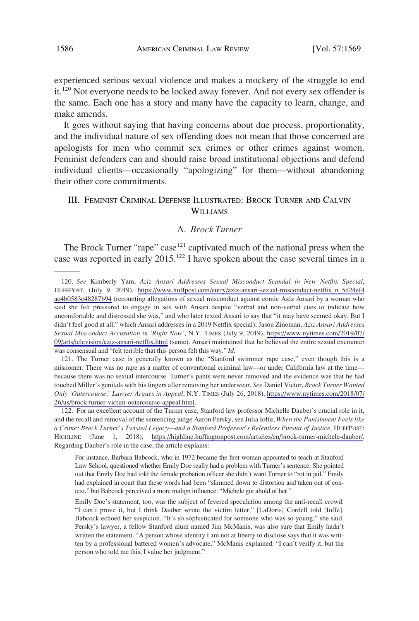experienced serious sexual violence and makes a mockery of the struggle to end it.<sup>120</sup> Not everyone needs to be locked away forever. And not every sex offender is the same. Each one has a story and many have the capacity to learn, change, and make amends.

It goes without saying that having concerns about due process, proportionality, and the individual nature of sex offending does not mean that those concerned are apologists for men who commit sex crimes or other crimes against women. Feminist defenders can and should raise broad institutional objections and defend individual clients—occasionally "apologizing" for them—without abandoning their other core commitments.

# III. FEMINIST CRIMINAL DEFENSE ILLUSTRATED: BROCK TURNER AND CALVIN **WILLIAMS**

# A. *Brock Turner*

The Brock Turner "rape" case<sup>121</sup> captivated much of the national press when the case was reported in early  $2015$ .<sup>122</sup> I have spoken about the case several times in a

*See* Kimberly Yam, *Aziz Ansari Addresses Sexual Misconduct Scandal in New Netflix Special*, 120. HUFFPOST, (July 9, 2019), [https://www.huffpost.com/entry/aziz-ansari-sexual-misconduct-netflix\\_n\\_5d24ef4](https://www.huffpost.com/entry/aziz-ansari-sexual-misconduct-netflix_n_5d24ef4ae4b0583e48287b94) [ae4b0583e48287b94](https://www.huffpost.com/entry/aziz-ansari-sexual-misconduct-netflix_n_5d24ef4ae4b0583e48287b94) (recounting allegations of sexual misconduct against comic Aziz Ansari by a woman who said she felt pressured to engage in sex with Ansari despite "verbal and non-verbal cues to indicate how uncomfortable and distressed she was," and who later texted Ansari to say that "it may have seemed okay. But I didn't feel good at all," which Ansari addresses in a 2019 Netflix special); Jason Zinoman, *Aziz Ansari Addresses Sexual Misconduct Accusation in 'Right Now'*, N.Y. TIMES (July 9, 2019), [https://www.nytimes.com/2019/07/](https://www.nytimes.com/2019/07/09/arts/television/aziz-ansari-netflix.html) [09/arts/television/aziz-ansari-netflix.html](https://www.nytimes.com/2019/07/09/arts/television/aziz-ansari-netflix.html) (same). Ansari maintained that he believed the entire sexual encounter was consensual and "felt terrible that this person felt this way." *Id*.

<sup>121.</sup> The Turner case is generally known as the "Stanford swimmer rape case," even though this is a misnomer. There was no rape as a matter of conventional criminal law—or under California law at the time because there was no sexual intercourse. Turner's pants were never removed and the evidence was that he had touched Miller's genitals with his fingers after removing her underwear. *See* Daniel Victor, *Brock Turner Wanted Only 'Outercourse,' Lawyer Argues in Appeal*, N.Y. TIMES (July 26, 2018), [https://www.nytimes.com/2018/07/](https://www.nytimes.com/2018/07/26/us/brock-turner-victim-outercourse-appeal.html) [26/us/brock-turner-victim-outercourse-appeal.html.](https://www.nytimes.com/2018/07/26/us/brock-turner-victim-outercourse-appeal.html)

<sup>122.</sup> For an excellent account of the Turner case, Stanford law professor Michelle Dauber's crucial role in it, and the recall and removal of the sentencing judge Aaron Persky, see Julia Ioffe, *When the Punishment Feels like a Crime: Brock Turner's Twisted Legacy—and a Stanford Professor's Relentless Pursuit of Justice*, HUFFPOST: HIGHLINE (June 1, 2018), <https://highline.huffingtonpost.com/articles/en/brock-turner-michele-dauber/>. Regarding Dauber's role in the case, the article explains:

For instance, Barbara Babcock, who in 1972 became the first woman appointed to teach at Stanford Law School, questioned whether Emily Doe really had a problem with Turner's sentence. She pointed out that Emily Doe had told the female probation officer she didn't want Turner to "rot in jail." Emily had explained in court that these words had been "slimmed down to distortion and taken out of context," but Babcock perceived a more malign influence: "Michele got ahold of her."

Emily Doe's statement, too, was the subject of fevered speculation among the anti-recall crowd. "I can't prove it, but I think Dauber wrote the victim letter," [LaDoris] Cordell told [Ioffe]. Babcock echoed her suspicion. "It's so sophisticated for someone who was so young," she said. Persky's lawyer, a fellow Stanford alum named Jim McManis, was also sure that Emily hadn't written the statement. "A person whose identity I am not at liberty to disclose says that it was written by a professional battered women's advocate," McManis explained. "I can't verify it, but the person who told me this, I value her judgment."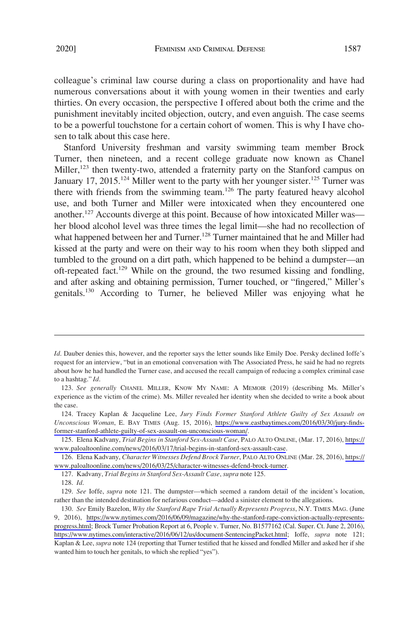colleague's criminal law course during a class on proportionality and have had numerous conversations about it with young women in their twenties and early thirties. On every occasion, the perspective I offered about both the crime and the punishment inevitably incited objection, outcry, and even anguish. The case seems to be a powerful touchstone for a certain cohort of women. This is why I have chosen to talk about this case here.

Stanford University freshman and varsity swimming team member Brock Turner, then nineteen, and a recent college graduate now known as Chanel Miller,<sup>123</sup> then twenty-two, attended a fraternity party on the Stanford campus on January 17, 2015.<sup>124</sup> Miller went to the party with her younger sister.<sup>125</sup> Turner was there with friends from the swimming team.<sup>126</sup> The party featured heavy alcohol use, and both Turner and Miller were intoxicated when they encountered one another.<sup>127</sup> Accounts diverge at this point. Because of how intoxicated Miller was her blood alcohol level was three times the legal limit—she had no recollection of what happened between her and Turner.<sup>128</sup> Turner maintained that he and Miller had kissed at the party and were on their way to his room when they both slipped and tumbled to the ground on a dirt path, which happened to be behind a dumpster—an oft-repeated fact.<sup>129</sup> While on the ground, the two resumed kissing and fondling, and after asking and obtaining permission, Turner touched, or "fingered," Miller's genitals.130 According to Turner, he believed Miller was enjoying what he

127. Kadvany, *Trial Begins in Stanford Sex-Assault Case*, *supra* note 125.

*Id*. Dauber denies this, however, and the reporter says the letter sounds like Emily Doe. Persky declined Ioffe's request for an interview, "but in an emotional conversation with The Associated Press, he said he had no regrets about how he had handled the Turner case, and accused the recall campaign of reducing a complex criminal case to a hashtag." *Id*.

<sup>123.</sup> *See generally* CHANEL MILLER, KNOW MY NAME: A MEMOIR (2019) (describing Ms. Miller's experience as the victim of the crime). Ms. Miller revealed her identity when she decided to write a book about the case.

<sup>124.</sup> Tracey Kaplan & Jacqueline Lee, *Jury Finds Former Stanford Athlete Guilty of Sex Assault on Unconscious Woman*, E. BAY TIMES (Aug. 15, 2016), [https://www.eastbaytimes.com/2016/03/30/jury-finds](https://www.eastbaytimes.com/2016/03/30/jury-finds-former-stanford-athlete-guilty-of-sex-assault-on-unconscious-woman/)[former-stanford-athlete-guilty-of-sex-assault-on-unconscious-woman/](https://www.eastbaytimes.com/2016/03/30/jury-finds-former-stanford-athlete-guilty-of-sex-assault-on-unconscious-woman/).

Elena Kadvany, *Trial Begins in Stanford Sex-Assault Case*, PALO ALTO ONLINE, (Mar. 17, 2016), [https://](https://www.paloaltoonline.com/news/2016/03/17/trial-begins-in-stanford-sex-assault-case) 125. [www.paloaltoonline.com/news/2016/03/17/trial-begins-in-stanford-sex-assault-case.](https://www.paloaltoonline.com/news/2016/03/17/trial-begins-in-stanford-sex-assault-case)

Elena Kadvany, *Character Witnesses Defend Brock Turner*, PALO ALTO ONLINE (Mar. 28, 2016), [https://](https://www.paloaltoonline.com/news/2016/03/25/character-witnesses-defend-brock-turner) 126. [www.paloaltoonline.com/news/2016/03/25/character-witnesses-defend-brock-turner.](https://www.paloaltoonline.com/news/2016/03/25/character-witnesses-defend-brock-turner)

<sup>128.</sup> *Id*.

<sup>129.</sup> *See* Ioffe, *supra* note 121. The dumpster—which seemed a random detail of the incident's location, rather than the intended destination for nefarious conduct—added a sinister element to the allegations.

*See* Emily Bazelon, *Why the Stanford Rape Trial Actually Represents Progress*, N.Y. TIMES MAG. (June 130. 9, 2016), [https://www.nytimes.com/2016/06/09/magazine/why-the-stanford-rape-conviction-actually-represents](https://www.nytimes.com/2016/06/09/magazine/why-the-stanford-rape-conviction-actually-represents-progress.html)[progress.html;](https://www.nytimes.com/2016/06/09/magazine/why-the-stanford-rape-conviction-actually-represents-progress.html) Brock Turner Probation Report at 6, People v. Turner, No. B1577162 (Cal. Super. Ct. June 2, 2016), <https://www.nytimes.com/interactive/2016/06/12/us/document-SentencingPacket.html>; Ioffe, *supra* note 121; Kaplan & Lee, *supra* note 124 (reporting that Turner testified that he kissed and fondled Miller and asked her if she wanted him to touch her genitals, to which she replied "yes").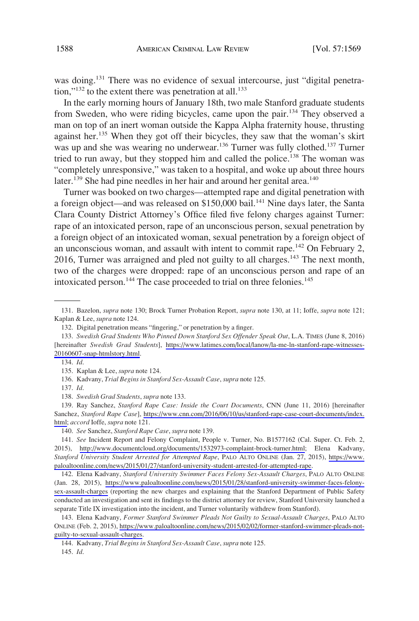was doing.<sup>131</sup> There was no evidence of sexual intercourse, just "digital penetration," $^{132}$  to the extent there was penetration at all. $^{133}$ 

In the early morning hours of January 18th, two male Stanford graduate students from Sweden, who were riding bicycles, came upon the pair.<sup>134</sup> They observed a man on top of an inert woman outside the Kappa Alpha fraternity house, thrusting against her.<sup>135</sup> When they got off their bicycles, they saw that the woman's skirt was up and she was wearing no underwear.<sup>136</sup> Turner was fully clothed.<sup>137</sup> Turner tried to run away, but they stopped him and called the police.<sup>138</sup> The woman was "completely unresponsive," was taken to a hospital, and woke up about three hours later.<sup>139</sup> She had pine needles in her hair and around her genital area.<sup>140</sup>

Turner was booked on two charges—attempted rape and digital penetration with a foreign object—and was released on \$150,000 bail.<sup>141</sup> Nine days later, the Santa Clara County District Attorney's Office filed five felony charges against Turner: rape of an intoxicated person, rape of an unconscious person, sexual penetration by a foreign object of an intoxicated woman, sexual penetration by a foreign object of an unconscious woman, and assault with intent to commit rape.<sup>142</sup> On February 2, 2016, Turner was arraigned and pled not guilty to all charges.<sup>143</sup> The next month, two of the charges were dropped: rape of an unconscious person and rape of an intoxicated person.<sup>144</sup> The case proceeded to trial on three felonies.<sup>145</sup>

139. Ray Sanchez, Stanford Rape Case: Inside the Court Documents, CNN (June 11, 2016) [hereinafter Sanchez, *Stanford Rape Case*], [https://www.cnn.com/2016/06/10/us/stanford-rape-case-court-documents/index.](https://www.cnn.com/2016/06/10/us/stanford-rape-case-court-documents/index.html) [html;](https://www.cnn.com/2016/06/10/us/stanford-rape-case-court-documents/index.html) *accord* Ioffe, *supra* note 121.

140. *See* Sanchez, *Stanford Rape Case*, *supra* note 139.

145. *Id*.

<sup>131.</sup> Bazelon, *supra* note 130; Brock Turner Probation Report, *supra* note 130, at 11; Ioffe, *supra* note 121; Kaplan & Lee, *supra* note 124.

<sup>132.</sup> Digital penetration means "fingering," or penetration by a finger.

<sup>133.</sup> Swedish Grad Students Who Pinned Down Stanford Sex Offender Speak Out, L.A. TIMES (June 8, 2016) [hereinafter *Swedish Grad Students*], [https://www.latimes.com/local/lanow/la-me-ln-stanford-rape-witnesses-](https://www.latimes.com/local/lanow/la-me-ln-stanford-rape-witnesses-20160607-snap-htmlstory.html)[20160607-snap-htmlstory.html](https://www.latimes.com/local/lanow/la-me-ln-stanford-rape-witnesses-20160607-snap-htmlstory.html).

<sup>134.</sup> *Id*.

<sup>135.</sup> Kaplan & Lee, *supra* note 124.

<sup>136.</sup> Kadvany, *Trial Begins in Stanford Sex-Assault Case*, *supra* note 125.

<sup>137.</sup> *Id*.

<sup>138.</sup> *Swedish Grad Students*, *supra* note 133.

<sup>141.</sup> See Incident Report and Felony Complaint, People v. Turner, No. B1577162 (Cal. Super. Ct. Feb. 2, 2015), [http://www.documentcloud.org/documents/1532973-complaint-brock-turner.html;](http://www.documentcloud.org/documents/1532973-complaint-brock-turner.html) Elena Kadvany, *Stanford University Student Arrested for Attempted Rape*, PALO ALTO ONLINE (Jan. 27, 2015), [https://www.](https://www.paloaltoonline.com/news/2015/01/27/stanford-university-student-arrested-for-attempted-rape)  [paloaltoonline.com/news/2015/01/27/stanford-university-student-arrested-for-attempted-rape](https://www.paloaltoonline.com/news/2015/01/27/stanford-university-student-arrested-for-attempted-rape).

<sup>142.</sup> Elena Kadvany, Stanford University Swimmer Faces Felony Sex-Assault Charges, PALO ALTO ONLINE (Jan. 28, 2015), [https://www.paloaltoonline.com/news/2015/01/28/stanford-university-swimmer-faces-felony](https://www.paloaltoonline.com/news/2015/01/28/stanford-university-swimmer-faces-felony-sex-assault-charges)[sex-assault-charges](https://www.paloaltoonline.com/news/2015/01/28/stanford-university-swimmer-faces-felony-sex-assault-charges) (reporting the new charges and explaining that the Stanford Department of Public Safety conducted an investigation and sent its findings to the district attorney for review, Stanford University launched a separate Title IX investigation into the incident, and Turner voluntarily withdrew from Stanford).

Elena Kadvany, *Former Stanford Swimmer Pleads Not Guilty to Sexual-Assault Charges*, PALO ALTO 143. ONLINE (Feb. 2, 2015), [https://www.paloaltoonline.com/news/2015/02/02/former-stanford-swimmer-pleads-not](https://www.paloaltoonline.com/news/2015/02/02/former-stanford-swimmer-pleads-not-guilty-to-sexual-assault-charges)[guilty-to-sexual-assault-charges](https://www.paloaltoonline.com/news/2015/02/02/former-stanford-swimmer-pleads-not-guilty-to-sexual-assault-charges).

<sup>144.</sup> Kadvany, *Trial Begins in Stanford Sex-Assault Case*, *supra* note 125.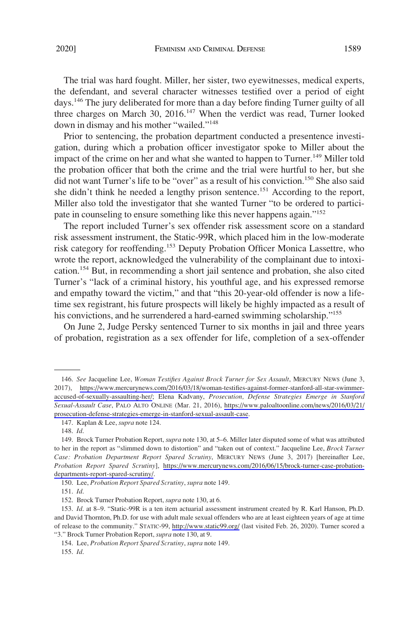The trial was hard fought. Miller, her sister, two eyewitnesses, medical experts, the defendant, and several character witnesses testified over a period of eight days.<sup>146</sup> The jury deliberated for more than a day before finding Turner guilty of all three charges on March 30, 2016.<sup>147</sup> When the verdict was read, Turner looked down in dismay and his mother "wailed."<sup>148</sup>

Prior to sentencing, the probation department conducted a presentence investigation, during which a probation officer investigator spoke to Miller about the impact of the crime on her and what she wanted to happen to Turner.<sup>149</sup> Miller told the probation officer that both the crime and the trial were hurtful to her, but she did not want Turner's life to be "over" as a result of his conviction.<sup>150</sup> She also said she didn't think he needed a lengthy prison sentence.<sup>151</sup> According to the report, Miller also told the investigator that she wanted Turner "to be ordered to participate in counseling to ensure something like this never happens again."152

The report included Turner's sex offender risk assessment score on a standard risk assessment instrument, the Static-99R, which placed him in the low-moderate risk category for reoffending.<sup>153</sup> Deputy Probation Officer Monica Lassettre, who wrote the report, acknowledged the vulnerability of the complainant due to intoxication.154 But, in recommending a short jail sentence and probation, she also cited Turner's "lack of a criminal history, his youthful age, and his expressed remorse and empathy toward the victim," and that "this 20-year-old offender is now a lifetime sex registrant, his future prospects will likely be highly impacted as a result of his convictions, and he surrendered a hard-earned swimming scholarship."<sup>155</sup>

On June 2, Judge Persky sentenced Turner to six months in jail and three years of probation, registration as a sex offender for life, completion of a sex-offender

<sup>146.</sup> See Jacqueline Lee, Woman Testifies Against Brock Turner for Sex Assault, MERCURY NEWS (June 3, 2017), [https://www.mercurynews.com/2016/03/18/woman-testifies-against-former-stanford-all-star-swimmer](https://www.mercurynews.com/2016/03/18/woman-testifies-against-former-stanford-all-star-swimmer-accused-of-sexually-assaulting-her/)[accused-of-sexually-assaulting-her/;](https://www.mercurynews.com/2016/03/18/woman-testifies-against-former-stanford-all-star-swimmer-accused-of-sexually-assaulting-her/) Elena Kadvany, *Prosecution, Defense Strategies Emerge in Stanford Sexual-Assault Case*, PALO ALTO ONLINE (Mar. 21, 2016), [https://www.paloaltoonline.com/news/2016/03/21/](https://www.paloaltoonline.com/news/2016/03/21/prosecution-defense-strategies-emerge-in-stanford-sexual-assault-case) [prosecution-defense-strategies-emerge-in-stanford-sexual-assault-case](https://www.paloaltoonline.com/news/2016/03/21/prosecution-defense-strategies-emerge-in-stanford-sexual-assault-case).

<sup>147.</sup> Kaplan & Lee, *supra* note 124.

<sup>148.</sup> *Id*.

<sup>149.</sup> Brock Turner Probation Report, *supra* note 130, at 5–6. Miller later disputed some of what was attributed to her in the report as "slimmed down to distortion" and "taken out of context." Jacqueline Lee, *Brock Turner Case: Probation Department Report Spared Scrutiny*, MERCURY NEWS (June 3, 2017) [hereinafter Lee, *Probation Report Spared Scrutiny*], [https://www.mercurynews.com/2016/06/15/brock-turner-case-probation](https://www.mercurynews.com/2016/06/15/brock-turner-case-probation-departments-report-spared-scrutiny/)[departments-report-spared-scrutiny/](https://www.mercurynews.com/2016/06/15/brock-turner-case-probation-departments-report-spared-scrutiny/).

<sup>150.</sup> Lee, *Probation Report Spared Scrutiny*, *supra* note 149.

<sup>151.</sup> *Id*.

<sup>152.</sup> Brock Turner Probation Report, *supra* note 130, at 6.

<sup>153.</sup> *Id.* at 8–9. "Static-99R is a ten item actuarial assessment instrument created by R. Karl Hanson, Ph.D. and David Thornton, Ph.D. for use with adult male sexual offenders who are at least eighteen years of age at time of release to the community." STATIC-99, <http://www.static99.org/>(last visited Feb. 26, 2020). Turner scored a "3." Brock Turner Probation Report, *supra* note 130, at 9.

<sup>154.</sup> Lee, *Probation Report Spared Scrutiny*, *supra* note 149.

<sup>155.</sup> *Id*.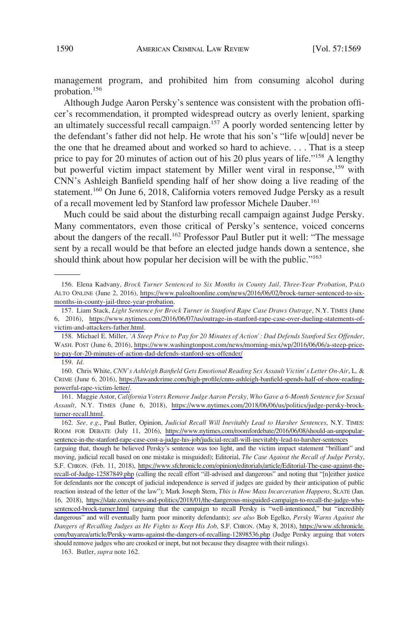management program, and prohibited him from consuming alcohol during probation.156

Although Judge Aaron Persky's sentence was consistent with the probation officer's recommendation, it prompted widespread outcry as overly lenient, sparking an ultimately successful recall campaign.<sup>157</sup> A poorly worded sentencing letter by the defendant's father did not help. He wrote that his son's "life w[ould] never be the one that he dreamed about and worked so hard to achieve. . . . That is a steep price to pay for 20 minutes of action out of his 20 plus years of life."<sup>158</sup> A lengthy but powerful victim impact statement by Miller went viral in response,<sup>159</sup> with CNN's Ashleigh Banfield spending half of her show doing a live reading of the statement.<sup>160</sup> On June 6, 2018, California voters removed Judge Persky as a result of a recall movement led by Stanford law professor Michele Dauber.<sup>161</sup>

Much could be said about the disturbing recall campaign against Judge Persky. Many commentators, even those critical of Persky's sentence, voiced concerns about the dangers of the recall.<sup>162</sup> Professor Paul Butler put it well: "The message sent by a recall would be that before an elected judge hands down a sentence, she should think about how popular her decision will be with the public."163

161. Maggie Astor, California Voters Remove Judge Aaron Persky, Who Gave a 6-Month Sentence for Sexual *Assault*, N.Y. TIMES (June 6, 2018), [https://www.nytimes.com/2018/06/06/us/politics/judge-persky-brock](https://www.nytimes.com/2018/06/06/us/politics/judge-persky-brock-turner-recall.html)[turner-recall.html](https://www.nytimes.com/2018/06/06/us/politics/judge-persky-brock-turner-recall.html).

*See, e.g*., Paul Butler, Opinion, *Judicial Recall Will Inevitably Lead to Harsher Sentences*, N.Y. TIMES: 162. ROOM FOR DEBATE (July 11, 2016), [https://www.nytimes.com/roomfordebate/2016/06/08/should-an-unpopular](https://www.nytimes.com/roomfordebate/2016/06/08/should-an-unpopular-sentence-in-the-stanford-rape-case-cost-a-judge-his-job/judicial-recall-will-inevitably-lead-to-harsher-sentences)[sentence-in-the-stanford-rape-case-cost-a-judge-his-job/judicial-recall-will-inevitably-lead-to-harsher-sentences](https://www.nytimes.com/roomfordebate/2016/06/08/should-an-unpopular-sentence-in-the-stanford-rape-case-cost-a-judge-his-job/judicial-recall-will-inevitably-lead-to-harsher-sentences) 

(arguing that, though he believed Persky's sentence was too light, and the victim impact statement "brilliant" and moving, judicial recall based on one mistake is misguided); Editorial, *The Case Against the Recall of Judge Persky*, S.F. CHRON. (Feb. 11, 2018), [https://www.sfchronicle.com/opinion/editorials/article/Editorial-The-case-against-the](https://www.sfchronicle.com/opinion/editorials/article/Editorial-The-case-against-the-recall-of-Judge-12587849.php)[recall-of-Judge-12587849.php](https://www.sfchronicle.com/opinion/editorials/article/Editorial-The-case-against-the-recall-of-Judge-12587849.php) (calling the recall effort "ill-advised and dangerous" and noting that "[n]either justice for defendants nor the concept of judicial independence is served if judges are guided by their anticipation of public reaction instead of the letter of the law"); Mark Joseph Stern, *This is How Mass Incarceration Happens*, SLATE (Jan. 16, 2018), [https://slate.com/news-and-politics/2018/01/the-dangerous-misguided-campaign-to-recall-the-judge-who](https://slate.com/news-and-politics/2018/01/the-dangerous-misguided-campaign-to-recall-the-judge-who-sentenced-brock-turner.html)[sentenced-brock-turner.html](https://slate.com/news-and-politics/2018/01/the-dangerous-misguided-campaign-to-recall-the-judge-who-sentenced-brock-turner.html) (arguing that the campaign to recall Persky is "well-intentioned," but "incredibly dangerous" and will eventually harm poor minority defendants); *see also* Bob Egelko, *Persky Warns Against the Dangers of Recalling Judges as He Fights to Keep His Job*, S.F. CHRON. (May 8, 2018), [https://www.sfchronicle.](https://www.sfchronicle.com/bayarea/article/Persky-warns-against-the-dangers-of-recalling-12898536.php)  [com/bayarea/article/Persky-warns-against-the-dangers-of-recalling-12898536.php](https://www.sfchronicle.com/bayarea/article/Persky-warns-against-the-dangers-of-recalling-12898536.php) (Judge Persky arguing that voters should remove judges who are crooked or inept, but not because they disagree with their rulings).

163. Butler, *supra* note 162.

<sup>156.</sup> Elena Kadvany, *Brock Turner Sentenced to Six Months in County Jail, Three-Year Probation*, PALO ALTO ONLINE (June 2, 2016), [https://www.paloaltoonline.com/news/2016/06/02/brock-turner-sentenced-to-six](https://www.paloaltoonline.com/news/2016/06/02/brock-turner-sentenced-to-six-months-in-county-jail-three-year-probation)[months-in-county-jail-three-year-probation](https://www.paloaltoonline.com/news/2016/06/02/brock-turner-sentenced-to-six-months-in-county-jail-three-year-probation).

<sup>157.</sup> Liam Stack, *Light Sentence for Brock Turner in Stanford Rape Case Draws Outrage*, N.Y. TIMES (June 6, 2016), [https://www.nytimes.com/2016/06/07/us/outrage-in-stanford-rape-case-over-dueling-statements-of](https://www.nytimes.com/2016/06/07/us/outrage-in-stanford-rape-case-over-dueling-statements-of-victim-and-attackers-father.html)[victim-and-attackers-father.html.](https://www.nytimes.com/2016/06/07/us/outrage-in-stanford-rape-case-over-dueling-statements-of-victim-and-attackers-father.html)

<sup>158.</sup> Michael E. Miller, 'A Steep Price to Pay for 20 Minutes of Action': Dad Defends Stanford Sex Offender, WASH. POST (June 6, 2016), [https://www.washingtonpost.com/news/morning-mix/wp/2016/06/06/a-steep-price](https://www.washingtonpost.com/news/morning-mix/wp/2016/06/06/a-steep-price-to-pay-for-20-minutes-of-action-dad-defends-stanford-sex-offender/)[to-pay-for-20-minutes-of-action-dad-defends-stanford-sex-offender/](https://www.washingtonpost.com/news/morning-mix/wp/2016/06/06/a-steep-price-to-pay-for-20-minutes-of-action-dad-defends-stanford-sex-offender/)

<sup>159.</sup> *Id*.

Chris White, *CNN's Ashleigh Banfield Gets Emotional Reading Sex Assault Victim's Letter On-Air*, L. & 160. CRIME (June 6, 2016), [https://lawandcrime.com/high-profile/cnns-ashleigh-banfield-spends-half-of-show-reading](https://lawandcrime.com/high-profile/cnns-ashleigh-banfield-spends-half-of-show-reading-powerful-rape-victim-letter/)[powerful-rape-victim-letter/.](https://lawandcrime.com/high-profile/cnns-ashleigh-banfield-spends-half-of-show-reading-powerful-rape-victim-letter/)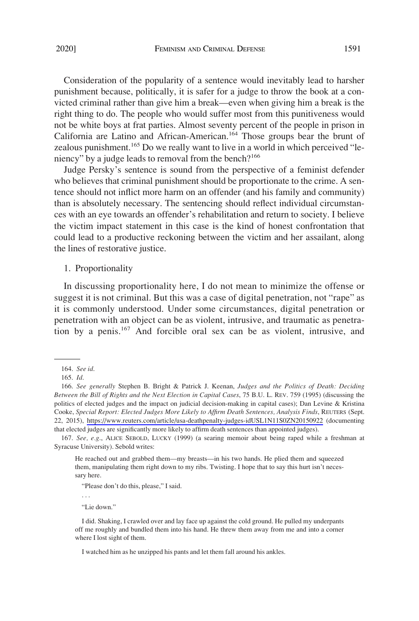Consideration of the popularity of a sentence would inevitably lead to harsher punishment because, politically, it is safer for a judge to throw the book at a convicted criminal rather than give him a break—even when giving him a break is the right thing to do. The people who would suffer most from this punitiveness would not be white boys at frat parties. Almost seventy percent of the people in prison in California are Latino and African-American.164 Those groups bear the brunt of zealous punishment.<sup>165</sup> Do we really want to live in a world in which perceived "leniency" by a judge leads to removal from the bench?<sup>166</sup>

Judge Persky's sentence is sound from the perspective of a feminist defender who believes that criminal punishment should be proportionate to the crime. A sentence should not inflict more harm on an offender (and his family and community) than is absolutely necessary. The sentencing should reflect individual circumstances with an eye towards an offender's rehabilitation and return to society. I believe the victim impact statement in this case is the kind of honest confrontation that could lead to a productive reckoning between the victim and her assailant, along the lines of restorative justice.

### 1. Proportionality

In discussing proportionality here, I do not mean to minimize the offense or suggest it is not criminal. But this was a case of digital penetration, not "rape" as it is commonly understood. Under some circumstances, digital penetration or penetration with an object can be as violent, intrusive, and traumatic as penetration by a penis.167 And forcible oral sex can be as violent, intrusive, and

He reached out and grabbed them—my breasts—in his two hands. He plied them and squeezed them, manipulating them right down to my ribs. Twisting. I hope that to say this hurt isn't necessary here.

"Please don't do this, please," I said.

. . .

"Lie down."

I did. Shaking, I crawled over and lay face up against the cold ground. He pulled my underpants off me roughly and bundled them into his hand. He threw them away from me and into a corner where I lost sight of them.

I watched him as he unzipped his pants and let them fall around his ankles.

<sup>164.</sup> *See id*.

<sup>165.</sup> *Id*.

*See generally* Stephen B. Bright & Patrick J. Keenan, *Judges and the Politics of Death: Deciding*  166. *Between the Bill of Rights and the Next Election in Capital Cases*, 75 B.U. L. REV. 759 (1995) (discussing the politics of elected judges and the impact on judicial decision-making in capital cases); Dan Levine & Kristina Cooke, *Special Report: Elected Judges More Likely to Affirm Death Sentences, Analysis Finds*, REUTERS (Sept. 22, 2015), <https://www.reuters.com/article/usa-deathpenalty-judges-idUSL1N11S0ZN20150922>(documenting that elected judges are significantly more likely to affirm death sentences than appointed judges).

<sup>167.</sup> *See, e.g*., ALICE SEBOLD, LUCKY (1999) (a searing memoir about being raped while a freshman at Syracuse University). Sebold writes: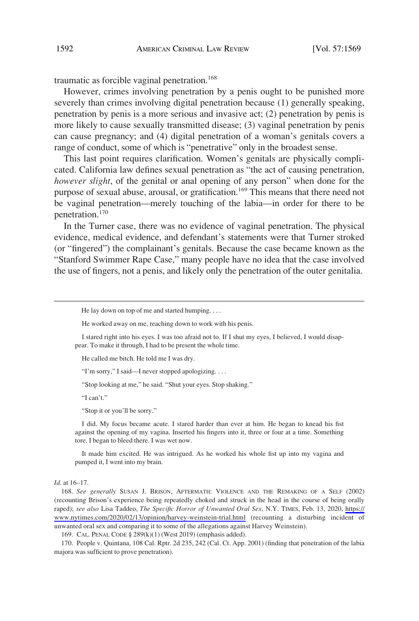traumatic as forcible vaginal penetration.<sup>168</sup>

However, crimes involving penetration by a penis ought to be punished more severely than crimes involving digital penetration because (1) generally speaking, penetration by penis is a more serious and invasive act; (2) penetration by penis is more likely to cause sexually transmitted disease; (3) vaginal penetration by penis can cause pregnancy; and (4) digital penetration of a woman's genitals covers a range of conduct, some of which is "penetrative" only in the broadest sense.

This last point requires clarification. Women's genitals are physically complicated. California law defines sexual penetration as "the act of causing penetration, *however slight*, of the genital or anal opening of any person" when done for the purpose of sexual abuse, arousal, or gratification.<sup>169</sup> This means that there need not be vaginal penetration—merely touching of the labia—in order for there to be penetration.170

In the Turner case, there was no evidence of vaginal penetration. The physical evidence, medical evidence, and defendant's statements were that Turner stroked (or "fingered") the complainant's genitals. Because the case became known as the "Stanford Swimmer Rape Case," many people have no idea that the case involved the use of fingers, not a penis, and likely only the penetration of the outer genitalia.

He worked away on me, reaching down to work with his penis.

He called me bitch. He told me I was dry.

"I'm sorry," I said—I never stopped apologizing. . . .

"Stop looking at me," he said. "Shut your eyes. Stop shaking."

"I can't."

"Stop it or you'll be sorry."

I did. My focus became acute. I stared harder than ever at him. He began to knead his fist against the opening of my vagina. Inserted his fingers into it, three or four at a time. Something tore. I began to bleed there. I was wet now.

It made him excited. He was intrigued. As he worked his whole fist up into my vagina and pumped it, I went into my brain.

#### *Id*. at 16–17.

168. See generally SUSAN J. BRISON, AFTERMATH: VIOLENCE AND THE REMAKING OF A SELF (2002) (recounting Brison's experience being repeatedly choked and struck in the head in the course of being orally raped); *see also* Lisa Taddeo, *The Specific Horror of Unwanted Oral Sex*, N.Y. TIMES, Feb. 13, 2020, [https://](https://www.nytimes.com/2020/02/13/opinion/harvey-weinstein-trial.html) [www.nytimes.com/2020/02/13/opinion/harvey-weinstein-trial.html](https://www.nytimes.com/2020/02/13/opinion/harvey-weinstein-trial.html) (recounting a disturbing incident of unwanted oral sex and comparing it to some of the allegations against Harvey Weinstein).

169. CAL. PENAL CODE § 289(k)(1) (West 2019) (emphasis added).

170. People v. Quintana, 108 Cal. Rptr. 2d 235, 242 (Cal. Ct. App. 2001) (finding that penetration of the labia majora was sufficient to prove penetration).

He lay down on top of me and started humping. . . .

I stared right into his eyes. I was too afraid not to. If I shut my eyes, I believed, I would disappear. To make it through, I had to be present the whole time.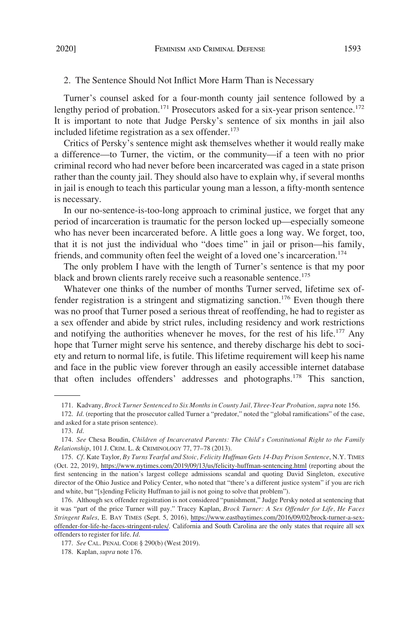# 2. The Sentence Should Not Inflict More Harm Than is Necessary

Turner's counsel asked for a four-month county jail sentence followed by a lengthy period of probation.<sup>171</sup> Prosecutors asked for a six-year prison sentence.<sup>172</sup> It is important to note that Judge Persky's sentence of six months in jail also included lifetime registration as a sex offender. $173$ 

Critics of Persky's sentence might ask themselves whether it would really make a difference—to Turner, the victim, or the community—if a teen with no prior criminal record who had never before been incarcerated was caged in a state prison rather than the county jail. They should also have to explain why, if several months in jail is enough to teach this particular young man a lesson, a fifty-month sentence is necessary.

In our no-sentence-is-too-long approach to criminal justice, we forget that any period of incarceration is traumatic for the person locked up—especially someone who has never been incarcerated before. A little goes a long way. We forget, too, that it is not just the individual who "does time" in jail or prison—his family, friends, and community often feel the weight of a loved one's incarceration.<sup>174</sup>

The only problem I have with the length of Turner's sentence is that my poor black and brown clients rarely receive such a reasonable sentence.<sup>175</sup>

Whatever one thinks of the number of months Turner served, lifetime sex offender registration is a stringent and stigmatizing sanction.<sup>176</sup> Even though there was no proof that Turner posed a serious threat of reoffending, he had to register as a sex offender and abide by strict rules, including residency and work restrictions and notifying the authorities whenever he moves, for the rest of his life.<sup>177</sup> Any hope that Turner might serve his sentence, and thereby discharge his debt to society and return to normal life, is futile. This lifetime requirement will keep his name and face in the public view forever through an easily accessible internet database that often includes offenders' addresses and photographs.178 This sanction,

<sup>171.</sup> Kadvany, *Brock Turner Sentenced to Six Months in County Jail, Three-Year Probation*, *supra* note 156.

<sup>172.</sup> *Id*. (reporting that the prosecutor called Turner a "predator," noted the "global ramifications" of the case, and asked for a state prison sentence).

<sup>173.</sup> *Id*.

<sup>174.</sup> *See* Chesa Boudin, *Children of Incarcerated Parents: The Child's Constitutional Right to the Family Relationship*, 101 J. CRIM. L. & CRIMINOLOGY 77, 77–78 (2013).

<sup>175.</sup> Cf. Kate Taylor, By Turns Tearful and Stoic, Felicity Huffman Gets 14-Day Prison Sentence, N.Y. TIMES (Oct. 22, 2019), <https://www.nytimes.com/2019/09/13/us/felicity-huffman-sentencing.html> (reporting about the first sentencing in the nation's largest college admissions scandal and quoting David Singleton, executive director of the Ohio Justice and Policy Center, who noted that "there's a different justice system" if you are rich and white, but "[s]ending Felicity Huffman to jail is not going to solve that problem").

<sup>176.</sup> Although sex offender registration is not considered "punishment," Judge Persky noted at sentencing that it was "part of the price Turner will pay." Tracey Kaplan, *Brock Turner: A Sex Offender for Life, He Faces Stringent Rules*, E. BAY TIMES (Sept. 5, 2016), [https://www.eastbaytimes.com/2016/09/02/brock-turner-a-sex](https://www.eastbaytimes.com/2016/09/02/brock-turner-a-sex-offender-for-life-he-faces-stringent-rules/)[offender-for-life-he-faces-stringent-rules/.](https://www.eastbaytimes.com/2016/09/02/brock-turner-a-sex-offender-for-life-he-faces-stringent-rules/) California and South Carolina are the only states that require all sex offenders to register for life. *Id*.

<sup>177.</sup> *See* CAL. PENAL CODE § 290(b) (West 2019).

<sup>178.</sup> Kaplan, *supra* note 176.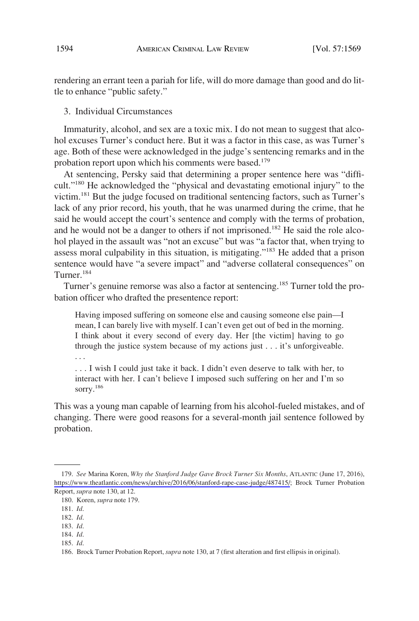rendering an errant teen a pariah for life, will do more damage than good and do little to enhance "public safety."

3. Individual Circumstances

Immaturity, alcohol, and sex are a toxic mix. I do not mean to suggest that alcohol excuses Turner's conduct here. But it was a factor in this case, as was Turner's age. Both of these were acknowledged in the judge's sentencing remarks and in the probation report upon which his comments were based.<sup>179</sup>

At sentencing, Persky said that determining a proper sentence here was "difficult."180 He acknowledged the "physical and devastating emotional injury" to the victim.181 But the judge focused on traditional sentencing factors, such as Turner's lack of any prior record, his youth, that he was unarmed during the crime, that he said he would accept the court's sentence and comply with the terms of probation, and he would not be a danger to others if not imprisoned.<sup>182</sup> He said the role alcohol played in the assault was "not an excuse" but was "a factor that, when trying to assess moral culpability in this situation, is mitigating."183 He added that a prison sentence would have "a severe impact" and "adverse collateral consequences" on Turner.184

Turner's genuine remorse was also a factor at sentencing.<sup>185</sup> Turner told the probation officer who drafted the presentence report:

Having imposed suffering on someone else and causing someone else pain—I mean, I can barely live with myself. I can't even get out of bed in the morning. I think about it every second of every day. Her [the victim] having to go through the justice system because of my actions just . . . it's unforgiveable. . . .

. . . I wish I could just take it back. I didn't even deserve to talk with her, to interact with her. I can't believe I imposed such suffering on her and I'm so sorry.<sup>186</sup>

This was a young man capable of learning from his alcohol-fueled mistakes, and of changing. There were good reasons for a several-month jail sentence followed by probation.

*See* Marina Koren, *Why the Stanford Judge Gave Brock Turner Six Months*, ATLANTIC (June 17, 2016), 179. [https://www.theatlantic.com/news/archive/2016/06/stanford-rape-case-judge/487415/;](https://www.theatlantic.com/news/archive/2016/06/stanford-rape-case-judge/487415/) Brock Turner Probation Report, *supra* note 130, at 12.

<sup>180.</sup> Koren, *supra* note 179.

<sup>181.</sup> *Id*.

<sup>182.</sup> *Id*.

<sup>183.</sup> *Id*.

<sup>184.</sup> *Id*. 185. *Id*.

<sup>186.</sup> Brock Turner Probation Report, *supra* note 130, at 7 (first alteration and first ellipsis in original).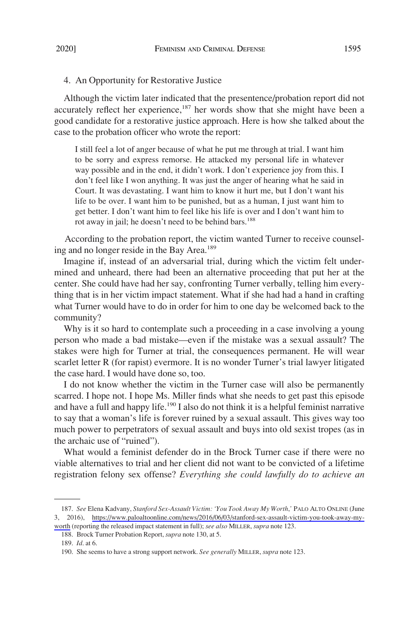## 4. An Opportunity for Restorative Justice

Although the victim later indicated that the presentence/probation report did not accurately reflect her experience,<sup>187</sup> her words show that she might have been a good candidate for a restorative justice approach. Here is how she talked about the case to the probation officer who wrote the report:

I still feel a lot of anger because of what he put me through at trial. I want him to be sorry and express remorse. He attacked my personal life in whatever way possible and in the end, it didn't work. I don't experience joy from this. I don't feel like I won anything. It was just the anger of hearing what he said in Court. It was devastating. I want him to know it hurt me, but I don't want his life to be over. I want him to be punished, but as a human, I just want him to get better. I don't want him to feel like his life is over and I don't want him to rot away in jail; he doesn't need to be behind bars.<sup>188</sup>

According to the probation report, the victim wanted Turner to receive counseling and no longer reside in the Bay Area.<sup>189</sup>

Imagine if, instead of an adversarial trial, during which the victim felt undermined and unheard, there had been an alternative proceeding that put her at the center. She could have had her say, confronting Turner verbally, telling him everything that is in her victim impact statement. What if she had had a hand in crafting what Turner would have to do in order for him to one day be welcomed back to the community?

Why is it so hard to contemplate such a proceeding in a case involving a young person who made a bad mistake—even if the mistake was a sexual assault? The stakes were high for Turner at trial, the consequences permanent. He will wear scarlet letter R (for rapist) evermore. It is no wonder Turner's trial lawyer litigated the case hard. I would have done so, too.

I do not know whether the victim in the Turner case will also be permanently scarred. I hope not. I hope Ms. Miller finds what she needs to get past this episode and have a full and happy life.<sup>190</sup> I also do not think it is a helpful feminist narrative to say that a woman's life is forever ruined by a sexual assault. This gives way too much power to perpetrators of sexual assault and buys into old sexist tropes (as in the archaic use of "ruined").

What would a feminist defender do in the Brock Turner case if there were no viable alternatives to trial and her client did not want to be convicted of a lifetime registration felony sex offense? *Everything she could lawfully do to achieve an* 

*See* Elena Kadvany, *Stanford Sex-Assault Victim: 'You Took Away My Worth*,*'* PALO ALTO ONLINE (June 187. 3, 2016), [https://www.paloaltoonline.com/news/2016/06/03/stanford-sex-assault-victim-you-took-away-my](https://www.paloaltoonline.com/news/2016/06/03/stanford-sex-assault-victim-you-took-away-my-worth)[worth](https://www.paloaltoonline.com/news/2016/06/03/stanford-sex-assault-victim-you-took-away-my-worth) (reporting the released impact statement in full); *see also* MILLER, *supra* note 123.

<sup>188.</sup> Brock Turner Probation Report, *supra* note 130, at 5.

<sup>189.</sup> *Id*. at 6.

<sup>190.</sup> She seems to have a strong support network. *See generally* MILLER, *supra* note 123.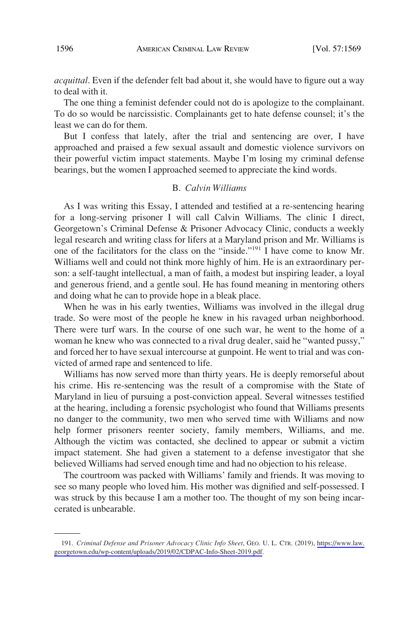*acquittal*. Even if the defender felt bad about it, she would have to figure out a way to deal with it.

The one thing a feminist defender could not do is apologize to the complainant. To do so would be narcissistic. Complainants get to hate defense counsel; it's the least we can do for them.

But I confess that lately, after the trial and sentencing are over, I have approached and praised a few sexual assault and domestic violence survivors on their powerful victim impact statements. Maybe I'm losing my criminal defense bearings, but the women I approached seemed to appreciate the kind words.

### B. *Calvin Williams*

As I was writing this Essay, I attended and testified at a re-sentencing hearing for a long-serving prisoner I will call Calvin Williams. The clinic I direct, Georgetown's Criminal Defense & Prisoner Advocacy Clinic, conducts a weekly legal research and writing class for lifers at a Maryland prison and Mr. Williams is one of the facilitators for the class on the "inside."191 I have come to know Mr. Williams well and could not think more highly of him. He is an extraordinary person: a self-taught intellectual, a man of faith, a modest but inspiring leader, a loyal and generous friend, and a gentle soul. He has found meaning in mentoring others and doing what he can to provide hope in a bleak place.

When he was in his early twenties, Williams was involved in the illegal drug trade. So were most of the people he knew in his ravaged urban neighborhood. There were turf wars. In the course of one such war, he went to the home of a woman he knew who was connected to a rival drug dealer, said he "wanted pussy," and forced her to have sexual intercourse at gunpoint. He went to trial and was convicted of armed rape and sentenced to life.

Williams has now served more than thirty years. He is deeply remorseful about his crime. His re-sentencing was the result of a compromise with the State of Maryland in lieu of pursuing a post-conviction appeal. Several witnesses testified at the hearing, including a forensic psychologist who found that Williams presents no danger to the community, two men who served time with Williams and now help former prisoners reenter society, family members, Williams, and me. Although the victim was contacted, she declined to appear or submit a victim impact statement. She had given a statement to a defense investigator that she believed Williams had served enough time and had no objection to his release.

The courtroom was packed with Williams' family and friends. It was moving to see so many people who loved him. His mother was dignified and self-possessed. I was struck by this because I am a mother too. The thought of my son being incarcerated is unbearable.

*Criminal Defense and Prisoner Advocacy Clinic Info Sheet*, GEO. U. L. CTR. (2019), [https://www.law.](https://www.law.georgetown.edu/wp-content/uploads/2019/02/CDPAC-Info-Sheet-2019.pdf) 191. [georgetown.edu/wp-content/uploads/2019/02/CDPAC-Info-Sheet-2019.pdf](https://www.law.georgetown.edu/wp-content/uploads/2019/02/CDPAC-Info-Sheet-2019.pdf).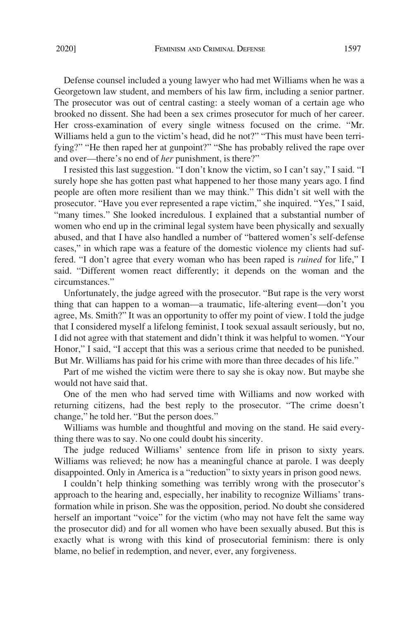Defense counsel included a young lawyer who had met Williams when he was a Georgetown law student, and members of his law firm, including a senior partner. The prosecutor was out of central casting: a steely woman of a certain age who brooked no dissent. She had been a sex crimes prosecutor for much of her career. Her cross-examination of every single witness focused on the crime. "Mr. Williams held a gun to the victim's head, did he not?" "This must have been terrifying?" "He then raped her at gunpoint?" "She has probably relived the rape over and over—there's no end of *her* punishment, is there?"

I resisted this last suggestion. "I don't know the victim, so I can't say," I said. "I surely hope she has gotten past what happened to her those many years ago. I find people are often more resilient than we may think." This didn't sit well with the prosecutor. "Have you ever represented a rape victim," she inquired. "Yes," I said, "many times." She looked incredulous. I explained that a substantial number of women who end up in the criminal legal system have been physically and sexually abused, and that I have also handled a number of "battered women's self-defense cases," in which rape was a feature of the domestic violence my clients had suffered. "I don't agree that every woman who has been raped is *ruined* for life," I said. "Different women react differently; it depends on the woman and the circumstances."

Unfortunately, the judge agreed with the prosecutor. "But rape is the very worst thing that can happen to a woman—a traumatic, life-altering event—don't you agree, Ms. Smith?" It was an opportunity to offer my point of view. I told the judge that I considered myself a lifelong feminist, I took sexual assault seriously, but no, I did not agree with that statement and didn't think it was helpful to women. "Your Honor," I said, "I accept that this was a serious crime that needed to be punished. But Mr. Williams has paid for his crime with more than three decades of his life."

Part of me wished the victim were there to say she is okay now. But maybe she would not have said that.

One of the men who had served time with Williams and now worked with returning citizens, had the best reply to the prosecutor. "The crime doesn't change," he told her. "But the person does."

Williams was humble and thoughtful and moving on the stand. He said everything there was to say. No one could doubt his sincerity.

The judge reduced Williams' sentence from life in prison to sixty years. Williams was relieved; he now has a meaningful chance at parole. I was deeply disappointed. Only in America is a "reduction" to sixty years in prison good news.

I couldn't help thinking something was terribly wrong with the prosecutor's approach to the hearing and, especially, her inability to recognize Williams' transformation while in prison. She was the opposition, period. No doubt she considered herself an important "voice" for the victim (who may not have felt the same way the prosecutor did) and for all women who have been sexually abused. But this is exactly what is wrong with this kind of prosecutorial feminism: there is only blame, no belief in redemption, and never, ever, any forgiveness.